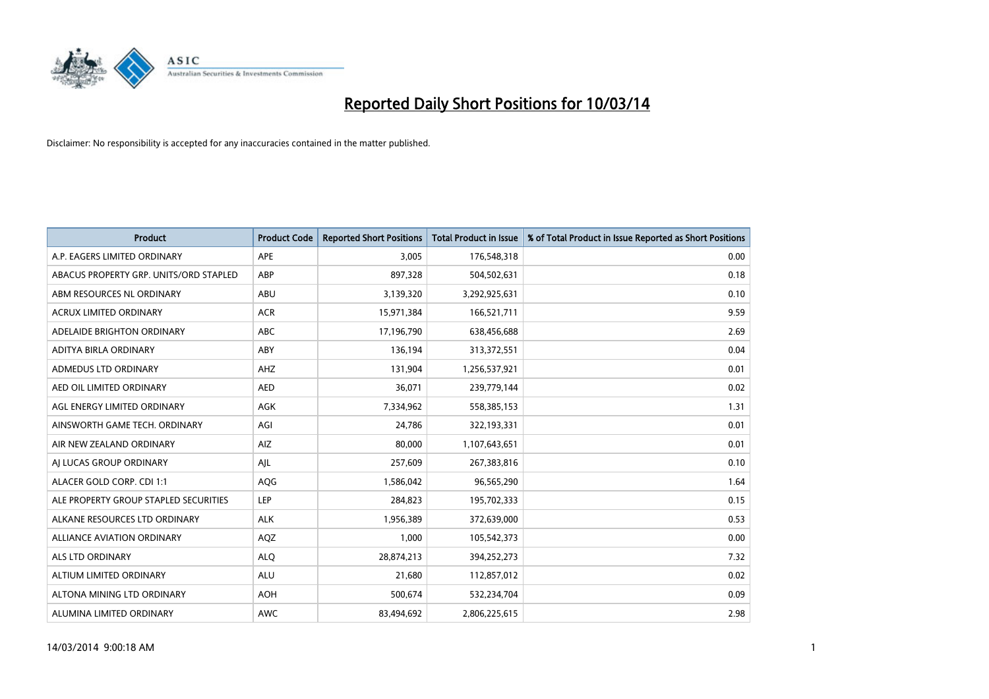

| <b>Product</b>                         | <b>Product Code</b> | <b>Reported Short Positions</b> | <b>Total Product in Issue</b> | % of Total Product in Issue Reported as Short Positions |
|----------------------------------------|---------------------|---------------------------------|-------------------------------|---------------------------------------------------------|
| A.P. EAGERS LIMITED ORDINARY           | APE                 | 3,005                           | 176,548,318                   | 0.00                                                    |
| ABACUS PROPERTY GRP. UNITS/ORD STAPLED | ABP                 | 897,328                         | 504,502,631                   | 0.18                                                    |
| ABM RESOURCES NL ORDINARY              | <b>ABU</b>          | 3,139,320                       | 3,292,925,631                 | 0.10                                                    |
| ACRUX LIMITED ORDINARY                 | <b>ACR</b>          | 15,971,384                      | 166,521,711                   | 9.59                                                    |
| ADELAIDE BRIGHTON ORDINARY             | <b>ABC</b>          | 17,196,790                      | 638,456,688                   | 2.69                                                    |
| ADITYA BIRLA ORDINARY                  | ABY                 | 136,194                         | 313,372,551                   | 0.04                                                    |
| ADMEDUS LTD ORDINARY                   | AHZ                 | 131,904                         | 1,256,537,921                 | 0.01                                                    |
| AED OIL LIMITED ORDINARY               | <b>AED</b>          | 36,071                          | 239,779,144                   | 0.02                                                    |
| AGL ENERGY LIMITED ORDINARY            | AGK                 | 7,334,962                       | 558,385,153                   | 1.31                                                    |
| AINSWORTH GAME TECH. ORDINARY          | AGI                 | 24,786                          | 322,193,331                   | 0.01                                                    |
| AIR NEW ZEALAND ORDINARY               | AIZ                 | 80,000                          | 1,107,643,651                 | 0.01                                                    |
| AI LUCAS GROUP ORDINARY                | AJL                 | 257,609                         | 267,383,816                   | 0.10                                                    |
| ALACER GOLD CORP. CDI 1:1              | AQG                 | 1,586,042                       | 96,565,290                    | 1.64                                                    |
| ALE PROPERTY GROUP STAPLED SECURITIES  | LEP                 | 284,823                         | 195,702,333                   | 0.15                                                    |
| ALKANE RESOURCES LTD ORDINARY          | <b>ALK</b>          | 1,956,389                       | 372,639,000                   | 0.53                                                    |
| ALLIANCE AVIATION ORDINARY             | AQZ                 | 1,000                           | 105,542,373                   | 0.00                                                    |
| ALS LTD ORDINARY                       | <b>ALO</b>          | 28,874,213                      | 394,252,273                   | 7.32                                                    |
| ALTIUM LIMITED ORDINARY                | <b>ALU</b>          | 21,680                          | 112,857,012                   | 0.02                                                    |
| ALTONA MINING LTD ORDINARY             | <b>AOH</b>          | 500,674                         | 532,234,704                   | 0.09                                                    |
| ALUMINA LIMITED ORDINARY               | <b>AWC</b>          | 83,494,692                      | 2,806,225,615                 | 2.98                                                    |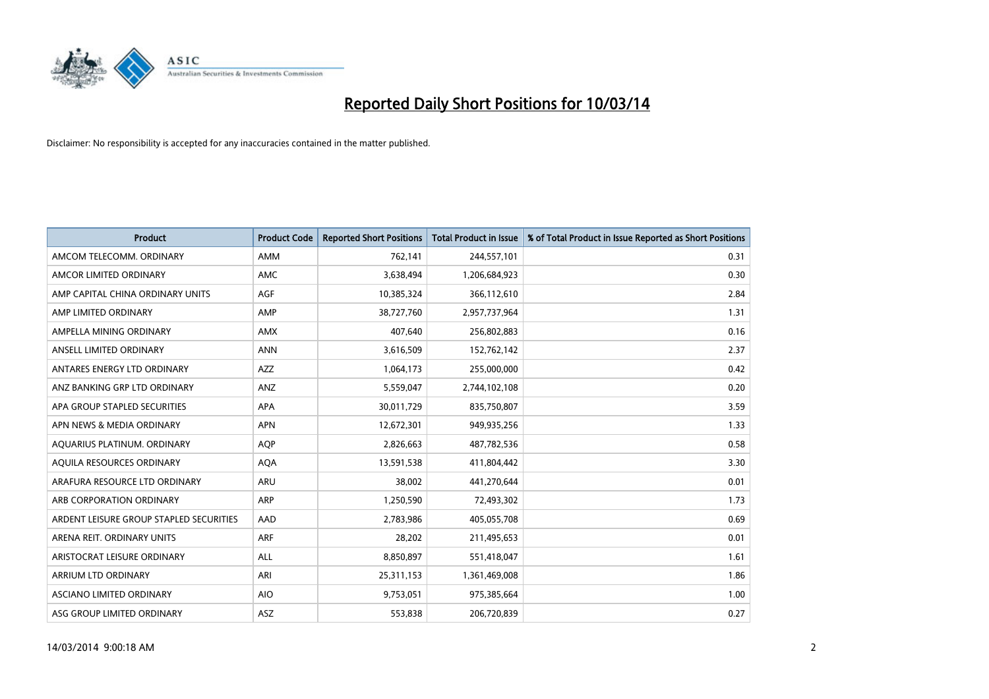

| <b>Product</b>                          | <b>Product Code</b> | <b>Reported Short Positions</b> | Total Product in Issue | % of Total Product in Issue Reported as Short Positions |
|-----------------------------------------|---------------------|---------------------------------|------------------------|---------------------------------------------------------|
| AMCOM TELECOMM, ORDINARY                | <b>AMM</b>          | 762,141                         | 244,557,101            | 0.31                                                    |
| AMCOR LIMITED ORDINARY                  | <b>AMC</b>          | 3,638,494                       | 1,206,684,923          | 0.30                                                    |
| AMP CAPITAL CHINA ORDINARY UNITS        | <b>AGF</b>          | 10,385,324                      | 366,112,610            | 2.84                                                    |
| AMP LIMITED ORDINARY                    | AMP                 | 38,727,760                      | 2,957,737,964          | 1.31                                                    |
| AMPELLA MINING ORDINARY                 | <b>AMX</b>          | 407,640                         | 256,802,883            | 0.16                                                    |
| ANSELL LIMITED ORDINARY                 | <b>ANN</b>          | 3,616,509                       | 152,762,142            | 2.37                                                    |
| ANTARES ENERGY LTD ORDINARY             | <b>AZZ</b>          | 1,064,173                       | 255,000,000            | 0.42                                                    |
| ANZ BANKING GRP LTD ORDINARY            | ANZ                 | 5,559,047                       | 2,744,102,108          | 0.20                                                    |
| APA GROUP STAPLED SECURITIES            | <b>APA</b>          | 30,011,729                      | 835,750,807            | 3.59                                                    |
| APN NEWS & MEDIA ORDINARY               | <b>APN</b>          | 12,672,301                      | 949,935,256            | 1.33                                                    |
| AQUARIUS PLATINUM. ORDINARY             | <b>AOP</b>          | 2,826,663                       | 487,782,536            | 0.58                                                    |
| AQUILA RESOURCES ORDINARY               | <b>AQA</b>          | 13,591,538                      | 411,804,442            | 3.30                                                    |
| ARAFURA RESOURCE LTD ORDINARY           | <b>ARU</b>          | 38,002                          | 441,270,644            | 0.01                                                    |
| ARB CORPORATION ORDINARY                | ARP                 | 1,250,590                       | 72,493,302             | 1.73                                                    |
| ARDENT LEISURE GROUP STAPLED SECURITIES | AAD                 | 2,783,986                       | 405,055,708            | 0.69                                                    |
| ARENA REIT. ORDINARY UNITS              | <b>ARF</b>          | 28,202                          | 211,495,653            | 0.01                                                    |
| ARISTOCRAT LEISURE ORDINARY             | <b>ALL</b>          | 8,850,897                       | 551,418,047            | 1.61                                                    |
| ARRIUM LTD ORDINARY                     | ARI                 | 25,311,153                      | 1,361,469,008          | 1.86                                                    |
| ASCIANO LIMITED ORDINARY                | <b>AIO</b>          | 9,753,051                       | 975,385,664            | 1.00                                                    |
| ASG GROUP LIMITED ORDINARY              | <b>ASZ</b>          | 553,838                         | 206,720,839            | 0.27                                                    |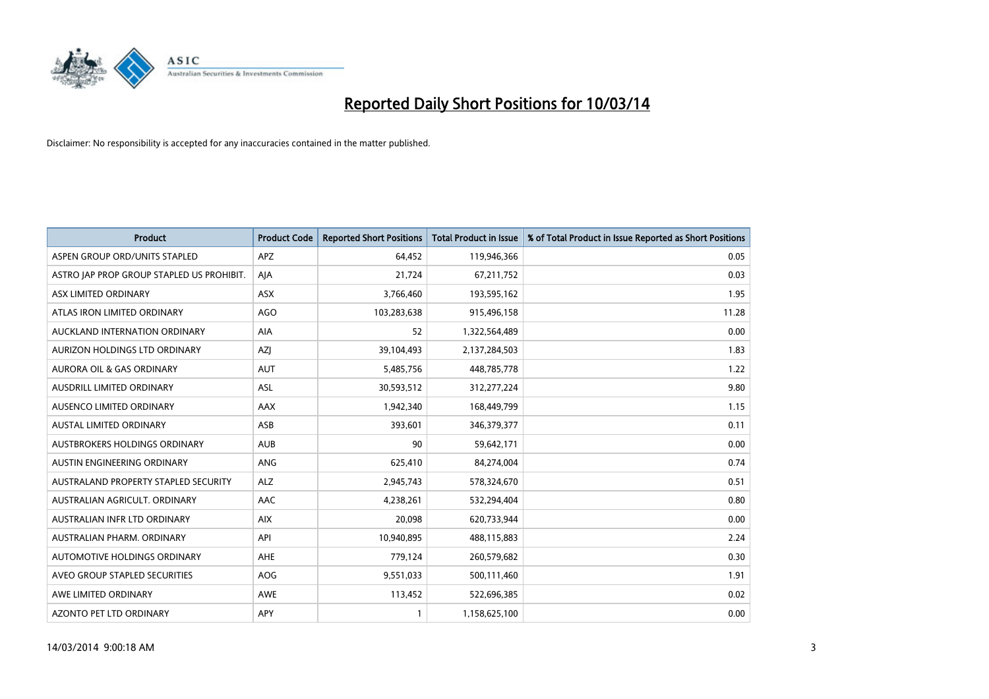

| <b>Product</b>                            | <b>Product Code</b> | <b>Reported Short Positions</b> | Total Product in Issue | % of Total Product in Issue Reported as Short Positions |
|-------------------------------------------|---------------------|---------------------------------|------------------------|---------------------------------------------------------|
| ASPEN GROUP ORD/UNITS STAPLED             | APZ                 | 64.452                          | 119,946,366            | 0.05                                                    |
| ASTRO JAP PROP GROUP STAPLED US PROHIBIT. | AJA                 | 21,724                          | 67,211,752             | 0.03                                                    |
| ASX LIMITED ORDINARY                      | <b>ASX</b>          | 3,766,460                       | 193,595,162            | 1.95                                                    |
| ATLAS IRON LIMITED ORDINARY               | <b>AGO</b>          | 103,283,638                     | 915,496,158            | 11.28                                                   |
| AUCKLAND INTERNATION ORDINARY             | <b>AIA</b>          | 52                              | 1,322,564,489          | 0.00                                                    |
| AURIZON HOLDINGS LTD ORDINARY             | AZI                 | 39,104,493                      | 2,137,284,503          | 1.83                                                    |
| <b>AURORA OIL &amp; GAS ORDINARY</b>      | <b>AUT</b>          | 5,485,756                       | 448,785,778            | 1.22                                                    |
| AUSDRILL LIMITED ORDINARY                 | <b>ASL</b>          | 30,593,512                      | 312,277,224            | 9.80                                                    |
| AUSENCO LIMITED ORDINARY                  | <b>AAX</b>          | 1,942,340                       | 168,449,799            | 1.15                                                    |
| <b>AUSTAL LIMITED ORDINARY</b>            | ASB                 | 393,601                         | 346,379,377            | 0.11                                                    |
| AUSTBROKERS HOLDINGS ORDINARY             | <b>AUB</b>          | 90                              | 59,642,171             | 0.00                                                    |
| <b>AUSTIN ENGINEERING ORDINARY</b>        | ANG                 | 625,410                         | 84,274,004             | 0.74                                                    |
| AUSTRALAND PROPERTY STAPLED SECURITY      | <b>ALZ</b>          | 2,945,743                       | 578,324,670            | 0.51                                                    |
| AUSTRALIAN AGRICULT, ORDINARY             | AAC                 | 4,238,261                       | 532,294,404            | 0.80                                                    |
| AUSTRALIAN INFR LTD ORDINARY              | <b>AIX</b>          | 20.098                          | 620,733,944            | 0.00                                                    |
| AUSTRALIAN PHARM. ORDINARY                | API                 | 10,940,895                      | 488,115,883            | 2.24                                                    |
| AUTOMOTIVE HOLDINGS ORDINARY              | AHE                 | 779,124                         | 260,579,682            | 0.30                                                    |
| AVEO GROUP STAPLED SECURITIES             | AOG                 | 9,551,033                       | 500,111,460            | 1.91                                                    |
| AWE LIMITED ORDINARY                      | AWE                 | 113,452                         | 522,696,385            | 0.02                                                    |
| <b>AZONTO PET LTD ORDINARY</b>            | APY                 |                                 | 1,158,625,100          | 0.00                                                    |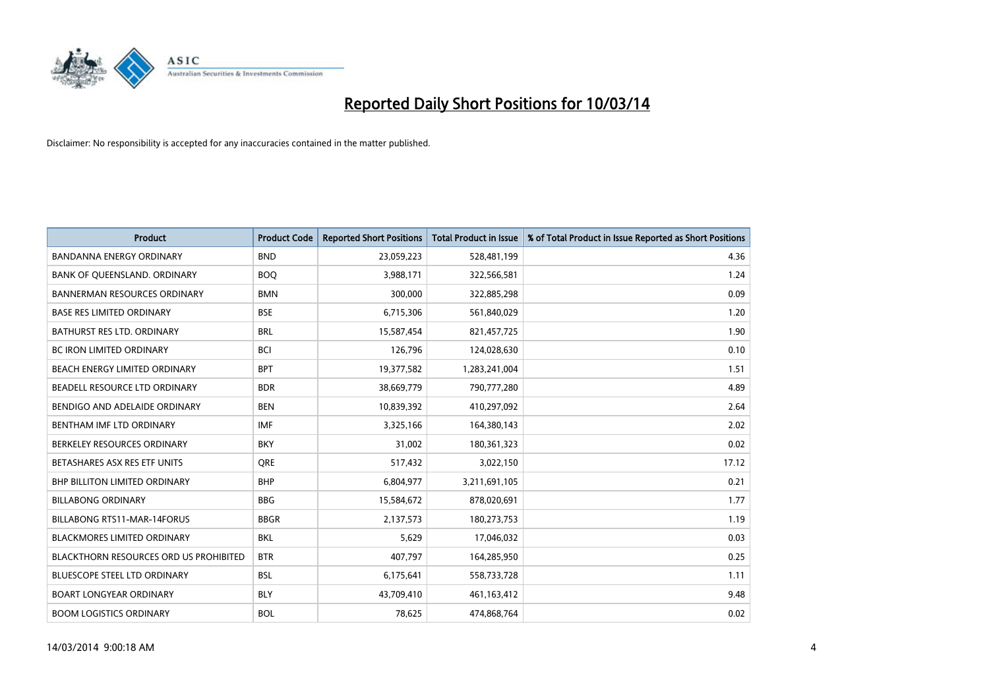

| <b>Product</b>                                | <b>Product Code</b> | <b>Reported Short Positions</b> | <b>Total Product in Issue</b> | % of Total Product in Issue Reported as Short Positions |
|-----------------------------------------------|---------------------|---------------------------------|-------------------------------|---------------------------------------------------------|
| <b>BANDANNA ENERGY ORDINARY</b>               | <b>BND</b>          | 23,059,223                      | 528,481,199                   | 4.36                                                    |
| BANK OF QUEENSLAND. ORDINARY                  | <b>BOQ</b>          | 3,988,171                       | 322,566,581                   | 1.24                                                    |
| <b>BANNERMAN RESOURCES ORDINARY</b>           | <b>BMN</b>          | 300,000                         | 322,885,298                   | 0.09                                                    |
| <b>BASE RES LIMITED ORDINARY</b>              | <b>BSE</b>          | 6,715,306                       | 561,840,029                   | 1.20                                                    |
| BATHURST RES LTD. ORDINARY                    | <b>BRL</b>          | 15,587,454                      | 821,457,725                   | 1.90                                                    |
| <b>BC IRON LIMITED ORDINARY</b>               | <b>BCI</b>          | 126,796                         | 124,028,630                   | 0.10                                                    |
| BEACH ENERGY LIMITED ORDINARY                 | <b>BPT</b>          | 19,377,582                      | 1,283,241,004                 | 1.51                                                    |
| BEADELL RESOURCE LTD ORDINARY                 | <b>BDR</b>          | 38,669,779                      | 790,777,280                   | 4.89                                                    |
| BENDIGO AND ADELAIDE ORDINARY                 | <b>BEN</b>          | 10,839,392                      | 410,297,092                   | 2.64                                                    |
| BENTHAM IMF LTD ORDINARY                      | <b>IMF</b>          | 3,325,166                       | 164,380,143                   | 2.02                                                    |
| BERKELEY RESOURCES ORDINARY                   | <b>BKY</b>          | 31,002                          | 180,361,323                   | 0.02                                                    |
| BETASHARES ASX RES ETF UNITS                  | <b>ORE</b>          | 517,432                         | 3,022,150                     | 17.12                                                   |
| BHP BILLITON LIMITED ORDINARY                 | <b>BHP</b>          | 6,804,977                       | 3,211,691,105                 | 0.21                                                    |
| <b>BILLABONG ORDINARY</b>                     | <b>BBG</b>          | 15,584,672                      | 878,020,691                   | 1.77                                                    |
| <b>BILLABONG RTS11-MAR-14FORUS</b>            | <b>BBGR</b>         | 2,137,573                       | 180,273,753                   | 1.19                                                    |
| BLACKMORES LIMITED ORDINARY                   | <b>BKL</b>          | 5,629                           | 17,046,032                    | 0.03                                                    |
| <b>BLACKTHORN RESOURCES ORD US PROHIBITED</b> | <b>BTR</b>          | 407,797                         | 164,285,950                   | 0.25                                                    |
| BLUESCOPE STEEL LTD ORDINARY                  | <b>BSL</b>          | 6,175,641                       | 558,733,728                   | 1.11                                                    |
| <b>BOART LONGYEAR ORDINARY</b>                | <b>BLY</b>          | 43,709,410                      | 461,163,412                   | 9.48                                                    |
| <b>BOOM LOGISTICS ORDINARY</b>                | <b>BOL</b>          | 78.625                          | 474.868.764                   | 0.02                                                    |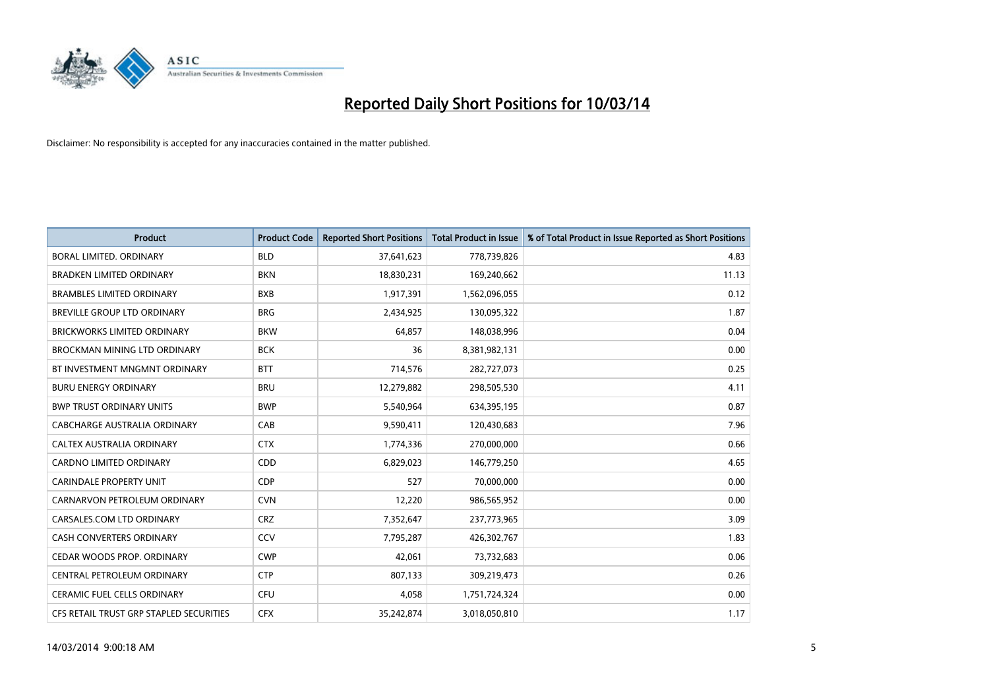

| <b>Product</b>                          | <b>Product Code</b> | <b>Reported Short Positions</b> | <b>Total Product in Issue</b> | % of Total Product in Issue Reported as Short Positions |
|-----------------------------------------|---------------------|---------------------------------|-------------------------------|---------------------------------------------------------|
| BORAL LIMITED, ORDINARY                 | <b>BLD</b>          | 37,641,623                      | 778,739,826                   | 4.83                                                    |
| <b>BRADKEN LIMITED ORDINARY</b>         | <b>BKN</b>          | 18,830,231                      | 169,240,662                   | 11.13                                                   |
| <b>BRAMBLES LIMITED ORDINARY</b>        | <b>BXB</b>          | 1,917,391                       | 1,562,096,055                 | 0.12                                                    |
| BREVILLE GROUP LTD ORDINARY             | <b>BRG</b>          | 2,434,925                       | 130,095,322                   | 1.87                                                    |
| <b>BRICKWORKS LIMITED ORDINARY</b>      | <b>BKW</b>          | 64,857                          | 148,038,996                   | 0.04                                                    |
| BROCKMAN MINING LTD ORDINARY            | <b>BCK</b>          | 36                              | 8,381,982,131                 | 0.00                                                    |
| BT INVESTMENT MNGMNT ORDINARY           | <b>BTT</b>          | 714,576                         | 282,727,073                   | 0.25                                                    |
| <b>BURU ENERGY ORDINARY</b>             | <b>BRU</b>          | 12,279,882                      | 298,505,530                   | 4.11                                                    |
| <b>BWP TRUST ORDINARY UNITS</b>         | <b>BWP</b>          | 5,540,964                       | 634,395,195                   | 0.87                                                    |
| CABCHARGE AUSTRALIA ORDINARY            | CAB                 | 9,590,411                       | 120,430,683                   | 7.96                                                    |
| CALTEX AUSTRALIA ORDINARY               | <b>CTX</b>          | 1,774,336                       | 270,000,000                   | 0.66                                                    |
| <b>CARDNO LIMITED ORDINARY</b>          | CDD                 | 6,829,023                       | 146,779,250                   | 4.65                                                    |
| <b>CARINDALE PROPERTY UNIT</b>          | <b>CDP</b>          | 527                             | 70,000,000                    | 0.00                                                    |
| CARNARVON PETROLEUM ORDINARY            | <b>CVN</b>          | 12,220                          | 986,565,952                   | 0.00                                                    |
| CARSALES.COM LTD ORDINARY               | <b>CRZ</b>          | 7,352,647                       | 237,773,965                   | 3.09                                                    |
| <b>CASH CONVERTERS ORDINARY</b>         | CCV                 | 7,795,287                       | 426,302,767                   | 1.83                                                    |
| CEDAR WOODS PROP. ORDINARY              | <b>CWP</b>          | 42,061                          | 73,732,683                    | 0.06                                                    |
| CENTRAL PETROLEUM ORDINARY              | <b>CTP</b>          | 807,133                         | 309,219,473                   | 0.26                                                    |
| <b>CERAMIC FUEL CELLS ORDINARY</b>      | CFU                 | 4,058                           | 1,751,724,324                 | 0.00                                                    |
| CFS RETAIL TRUST GRP STAPLED SECURITIES | <b>CFX</b>          | 35,242,874                      | 3,018,050,810                 | 1.17                                                    |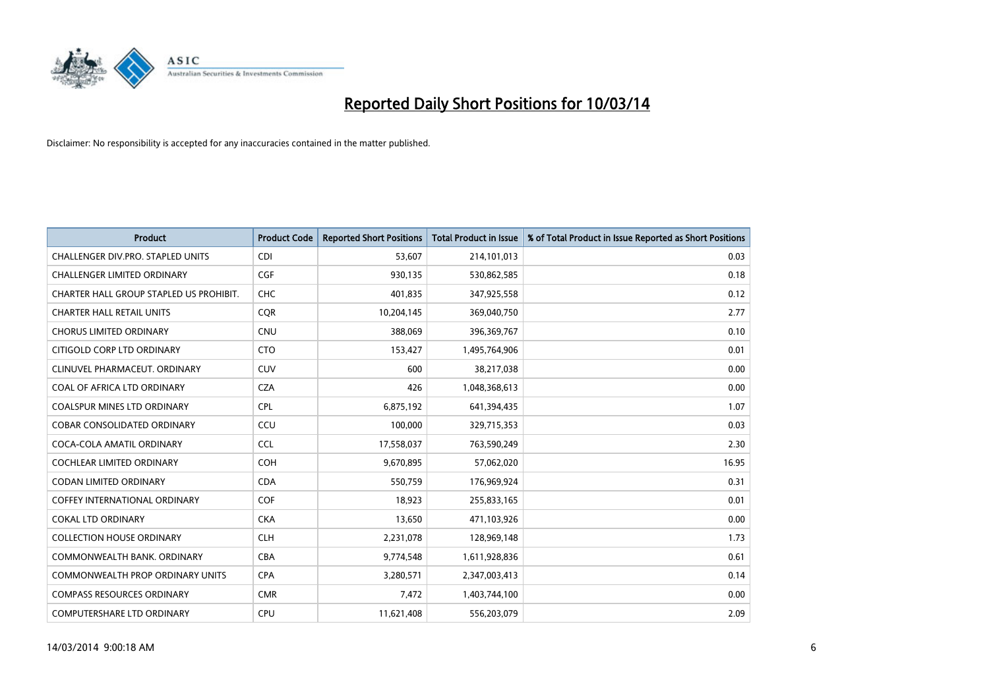

| <b>Product</b>                          | <b>Product Code</b> | <b>Reported Short Positions</b> | <b>Total Product in Issue</b> | % of Total Product in Issue Reported as Short Positions |
|-----------------------------------------|---------------------|---------------------------------|-------------------------------|---------------------------------------------------------|
| CHALLENGER DIV.PRO. STAPLED UNITS       | <b>CDI</b>          | 53,607                          | 214,101,013                   | 0.03                                                    |
| CHALLENGER LIMITED ORDINARY             | <b>CGF</b>          | 930,135                         | 530,862,585                   | 0.18                                                    |
| CHARTER HALL GROUP STAPLED US PROHIBIT. | <b>CHC</b>          | 401,835                         | 347,925,558                   | 0.12                                                    |
| <b>CHARTER HALL RETAIL UNITS</b>        | CQR                 | 10,204,145                      | 369,040,750                   | 2.77                                                    |
| <b>CHORUS LIMITED ORDINARY</b>          | <b>CNU</b>          | 388,069                         | 396,369,767                   | 0.10                                                    |
| CITIGOLD CORP LTD ORDINARY              | <b>CTO</b>          | 153,427                         | 1,495,764,906                 | 0.01                                                    |
| CLINUVEL PHARMACEUT. ORDINARY           | <b>CUV</b>          | 600                             | 38,217,038                    | 0.00                                                    |
| COAL OF AFRICA LTD ORDINARY             | <b>CZA</b>          | 426                             | 1,048,368,613                 | 0.00                                                    |
| COALSPUR MINES LTD ORDINARY             | <b>CPL</b>          | 6,875,192                       | 641,394,435                   | 1.07                                                    |
| <b>COBAR CONSOLIDATED ORDINARY</b>      | CCU                 | 100,000                         | 329,715,353                   | 0.03                                                    |
| COCA-COLA AMATIL ORDINARY               | <b>CCL</b>          | 17,558,037                      | 763,590,249                   | 2.30                                                    |
| COCHLEAR LIMITED ORDINARY               | <b>COH</b>          | 9,670,895                       | 57,062,020                    | 16.95                                                   |
| <b>CODAN LIMITED ORDINARY</b>           | <b>CDA</b>          | 550,759                         | 176,969,924                   | 0.31                                                    |
| <b>COFFEY INTERNATIONAL ORDINARY</b>    | <b>COF</b>          | 18,923                          | 255,833,165                   | 0.01                                                    |
| <b>COKAL LTD ORDINARY</b>               | <b>CKA</b>          | 13,650                          | 471,103,926                   | 0.00                                                    |
| <b>COLLECTION HOUSE ORDINARY</b>        | <b>CLH</b>          | 2,231,078                       | 128,969,148                   | 1.73                                                    |
| COMMONWEALTH BANK, ORDINARY             | CBA                 | 9,774,548                       | 1,611,928,836                 | 0.61                                                    |
| COMMONWEALTH PROP ORDINARY UNITS        | <b>CPA</b>          | 3,280,571                       | 2,347,003,413                 | 0.14                                                    |
| <b>COMPASS RESOURCES ORDINARY</b>       | <b>CMR</b>          | 7,472                           | 1,403,744,100                 | 0.00                                                    |
| COMPUTERSHARE LTD ORDINARY              | <b>CPU</b>          | 11,621,408                      | 556,203,079                   | 2.09                                                    |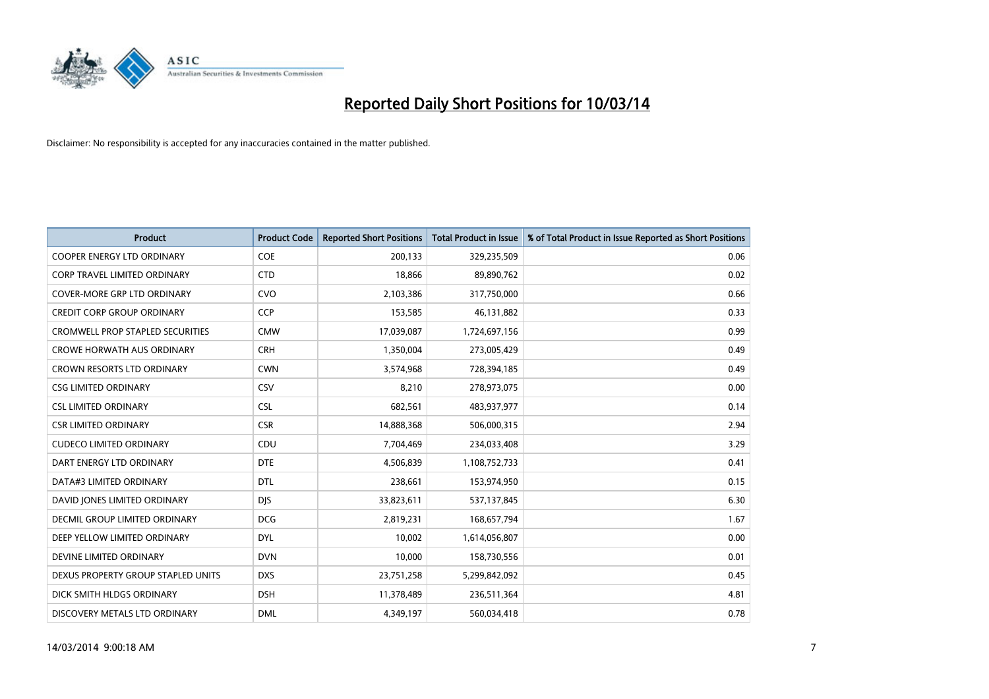

| <b>Product</b>                          | <b>Product Code</b> | <b>Reported Short Positions</b> | Total Product in Issue | % of Total Product in Issue Reported as Short Positions |
|-----------------------------------------|---------------------|---------------------------------|------------------------|---------------------------------------------------------|
| <b>COOPER ENERGY LTD ORDINARY</b>       | <b>COE</b>          | 200,133                         | 329,235,509            | 0.06                                                    |
| CORP TRAVEL LIMITED ORDINARY            | <b>CTD</b>          | 18,866                          | 89,890,762             | 0.02                                                    |
| <b>COVER-MORE GRP LTD ORDINARY</b>      | <b>CVO</b>          | 2,103,386                       | 317,750,000            | 0.66                                                    |
| <b>CREDIT CORP GROUP ORDINARY</b>       | <b>CCP</b>          | 153,585                         | 46,131,882             | 0.33                                                    |
| <b>CROMWELL PROP STAPLED SECURITIES</b> | <b>CMW</b>          | 17,039,087                      | 1,724,697,156          | 0.99                                                    |
| <b>CROWE HORWATH AUS ORDINARY</b>       | <b>CRH</b>          | 1,350,004                       | 273,005,429            | 0.49                                                    |
| <b>CROWN RESORTS LTD ORDINARY</b>       | <b>CWN</b>          | 3,574,968                       | 728,394,185            | 0.49                                                    |
| <b>CSG LIMITED ORDINARY</b>             | CSV                 | 8,210                           | 278,973,075            | 0.00                                                    |
| <b>CSL LIMITED ORDINARY</b>             | <b>CSL</b>          | 682,561                         | 483,937,977            | 0.14                                                    |
| <b>CSR LIMITED ORDINARY</b>             | <b>CSR</b>          | 14,888,368                      | 506,000,315            | 2.94                                                    |
| <b>CUDECO LIMITED ORDINARY</b>          | CDU                 | 7,704,469                       | 234,033,408            | 3.29                                                    |
| DART ENERGY LTD ORDINARY                | <b>DTE</b>          | 4,506,839                       | 1,108,752,733          | 0.41                                                    |
| DATA#3 LIMITED ORDINARY                 | <b>DTL</b>          | 238,661                         | 153,974,950            | 0.15                                                    |
| DAVID JONES LIMITED ORDINARY            | <b>DIS</b>          | 33,823,611                      | 537,137,845            | 6.30                                                    |
| <b>DECMIL GROUP LIMITED ORDINARY</b>    | <b>DCG</b>          | 2,819,231                       | 168,657,794            | 1.67                                                    |
| DEEP YELLOW LIMITED ORDINARY            | <b>DYL</b>          | 10,002                          | 1,614,056,807          | 0.00                                                    |
| DEVINE LIMITED ORDINARY                 | <b>DVN</b>          | 10,000                          | 158,730,556            | 0.01                                                    |
| DEXUS PROPERTY GROUP STAPLED UNITS      | <b>DXS</b>          | 23,751,258                      | 5,299,842,092          | 0.45                                                    |
| DICK SMITH HLDGS ORDINARY               | <b>DSH</b>          | 11,378,489                      | 236,511,364            | 4.81                                                    |
| DISCOVERY METALS LTD ORDINARY           | <b>DML</b>          | 4.349.197                       | 560,034,418            | 0.78                                                    |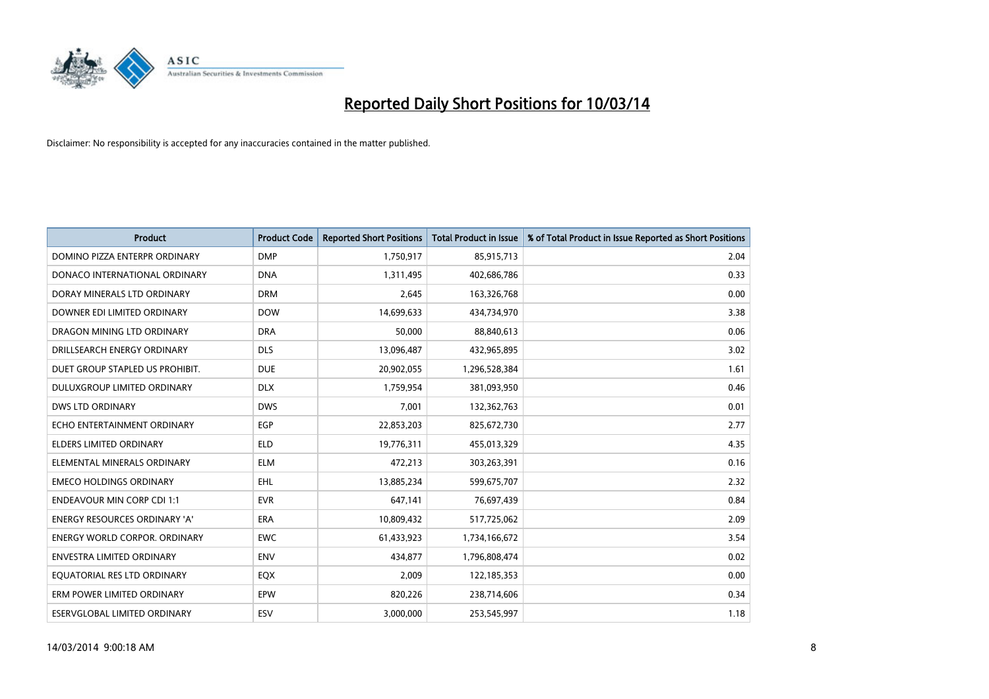

| <b>Product</b>                       | <b>Product Code</b> | <b>Reported Short Positions</b> | <b>Total Product in Issue</b> | % of Total Product in Issue Reported as Short Positions |
|--------------------------------------|---------------------|---------------------------------|-------------------------------|---------------------------------------------------------|
| DOMINO PIZZA ENTERPR ORDINARY        | <b>DMP</b>          | 1,750,917                       | 85,915,713                    | 2.04                                                    |
| DONACO INTERNATIONAL ORDINARY        | <b>DNA</b>          | 1,311,495                       | 402,686,786                   | 0.33                                                    |
| DORAY MINERALS LTD ORDINARY          | <b>DRM</b>          | 2,645                           | 163,326,768                   | 0.00                                                    |
| DOWNER EDI LIMITED ORDINARY          | <b>DOW</b>          | 14,699,633                      | 434,734,970                   | 3.38                                                    |
| DRAGON MINING LTD ORDINARY           | <b>DRA</b>          | 50,000                          | 88,840,613                    | 0.06                                                    |
| DRILLSEARCH ENERGY ORDINARY          | <b>DLS</b>          | 13,096,487                      | 432,965,895                   | 3.02                                                    |
| DUET GROUP STAPLED US PROHIBIT.      | <b>DUE</b>          | 20,902,055                      | 1,296,528,384                 | 1.61                                                    |
| DULUXGROUP LIMITED ORDINARY          | <b>DLX</b>          | 1,759,954                       | 381,093,950                   | 0.46                                                    |
| <b>DWS LTD ORDINARY</b>              | <b>DWS</b>          | 7,001                           | 132,362,763                   | 0.01                                                    |
| ECHO ENTERTAINMENT ORDINARY          | <b>EGP</b>          | 22,853,203                      | 825,672,730                   | 2.77                                                    |
| ELDERS LIMITED ORDINARY              | <b>ELD</b>          | 19,776,311                      | 455,013,329                   | 4.35                                                    |
| ELEMENTAL MINERALS ORDINARY          | <b>ELM</b>          | 472,213                         | 303,263,391                   | 0.16                                                    |
| <b>EMECO HOLDINGS ORDINARY</b>       | <b>EHL</b>          | 13,885,234                      | 599,675,707                   | 2.32                                                    |
| <b>ENDEAVOUR MIN CORP CDI 1:1</b>    | <b>EVR</b>          | 647,141                         | 76,697,439                    | 0.84                                                    |
| <b>ENERGY RESOURCES ORDINARY 'A'</b> | <b>ERA</b>          | 10,809,432                      | 517,725,062                   | 2.09                                                    |
| <b>ENERGY WORLD CORPOR. ORDINARY</b> | <b>EWC</b>          | 61,433,923                      | 1,734,166,672                 | 3.54                                                    |
| ENVESTRA LIMITED ORDINARY            | <b>ENV</b>          | 434,877                         | 1,796,808,474                 | 0.02                                                    |
| EQUATORIAL RES LTD ORDINARY          | EQX                 | 2,009                           | 122,185,353                   | 0.00                                                    |
| ERM POWER LIMITED ORDINARY           | EPW                 | 820,226                         | 238,714,606                   | 0.34                                                    |
| ESERVGLOBAL LIMITED ORDINARY         | ESV                 | 3,000,000                       | 253,545,997                   | 1.18                                                    |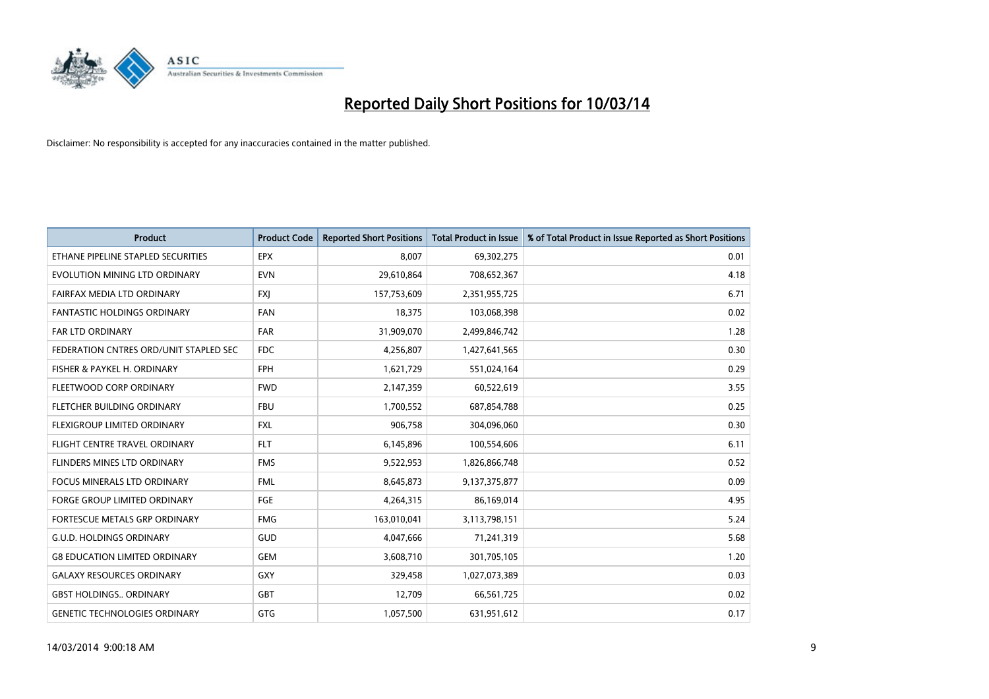

| <b>Product</b>                         | <b>Product Code</b> | <b>Reported Short Positions</b> | Total Product in Issue | % of Total Product in Issue Reported as Short Positions |
|----------------------------------------|---------------------|---------------------------------|------------------------|---------------------------------------------------------|
| ETHANE PIPELINE STAPLED SECURITIES     | <b>EPX</b>          | 8.007                           | 69,302,275             | 0.01                                                    |
| EVOLUTION MINING LTD ORDINARY          | <b>EVN</b>          | 29,610,864                      | 708,652,367            | 4.18                                                    |
| FAIRFAX MEDIA LTD ORDINARY             | <b>FXI</b>          | 157,753,609                     | 2,351,955,725          | 6.71                                                    |
| <b>FANTASTIC HOLDINGS ORDINARY</b>     | <b>FAN</b>          | 18,375                          | 103,068,398            | 0.02                                                    |
| <b>FAR LTD ORDINARY</b>                | <b>FAR</b>          | 31,909,070                      | 2,499,846,742          | 1.28                                                    |
| FEDERATION CNTRES ORD/UNIT STAPLED SEC | FDC                 | 4,256,807                       | 1,427,641,565          | 0.30                                                    |
| FISHER & PAYKEL H. ORDINARY            | <b>FPH</b>          | 1,621,729                       | 551,024,164            | 0.29                                                    |
| FLEETWOOD CORP ORDINARY                | <b>FWD</b>          | 2,147,359                       | 60,522,619             | 3.55                                                    |
| FLETCHER BUILDING ORDINARY             | <b>FBU</b>          | 1,700,552                       | 687,854,788            | 0.25                                                    |
| <b>FLEXIGROUP LIMITED ORDINARY</b>     | <b>FXL</b>          | 906,758                         | 304,096,060            | 0.30                                                    |
| FLIGHT CENTRE TRAVEL ORDINARY          | <b>FLT</b>          | 6,145,896                       | 100,554,606            | 6.11                                                    |
| FLINDERS MINES LTD ORDINARY            | <b>FMS</b>          | 9,522,953                       | 1,826,866,748          | 0.52                                                    |
| <b>FOCUS MINERALS LTD ORDINARY</b>     | <b>FML</b>          | 8,645,873                       | 9,137,375,877          | 0.09                                                    |
| <b>FORGE GROUP LIMITED ORDINARY</b>    | FGE                 | 4,264,315                       | 86,169,014             | 4.95                                                    |
| FORTESCUE METALS GRP ORDINARY          | <b>FMG</b>          | 163,010,041                     | 3,113,798,151          | 5.24                                                    |
| <b>G.U.D. HOLDINGS ORDINARY</b>        | <b>GUD</b>          | 4,047,666                       | 71,241,319             | 5.68                                                    |
| <b>G8 EDUCATION LIMITED ORDINARY</b>   | <b>GEM</b>          | 3,608,710                       | 301,705,105            | 1.20                                                    |
| <b>GALAXY RESOURCES ORDINARY</b>       | <b>GXY</b>          | 329,458                         | 1,027,073,389          | 0.03                                                    |
| <b>GBST HOLDINGS ORDINARY</b>          | <b>GBT</b>          | 12,709                          | 66,561,725             | 0.02                                                    |
| <b>GENETIC TECHNOLOGIES ORDINARY</b>   | <b>GTG</b>          | 1,057,500                       | 631,951,612            | 0.17                                                    |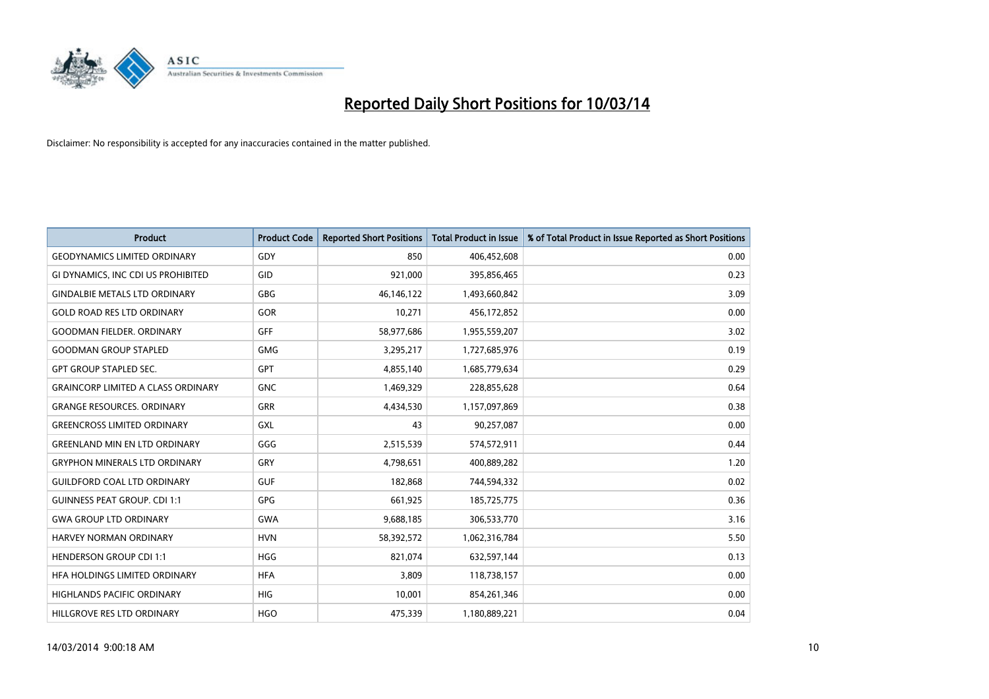

| <b>Product</b>                            | <b>Product Code</b> | <b>Reported Short Positions</b> | Total Product in Issue | % of Total Product in Issue Reported as Short Positions |
|-------------------------------------------|---------------------|---------------------------------|------------------------|---------------------------------------------------------|
| <b>GEODYNAMICS LIMITED ORDINARY</b>       | GDY                 | 850                             | 406,452,608            | 0.00                                                    |
| GI DYNAMICS, INC CDI US PROHIBITED        | GID                 | 921,000                         | 395,856,465            | 0.23                                                    |
| <b>GINDALBIE METALS LTD ORDINARY</b>      | <b>GBG</b>          | 46,146,122                      | 1,493,660,842          | 3.09                                                    |
| <b>GOLD ROAD RES LTD ORDINARY</b>         | GOR                 | 10,271                          | 456,172,852            | 0.00                                                    |
| <b>GOODMAN FIELDER, ORDINARY</b>          | <b>GFF</b>          | 58,977,686                      | 1,955,559,207          | 3.02                                                    |
| <b>GOODMAN GROUP STAPLED</b>              | <b>GMG</b>          | 3,295,217                       | 1,727,685,976          | 0.19                                                    |
| <b>GPT GROUP STAPLED SEC.</b>             | <b>GPT</b>          | 4,855,140                       | 1,685,779,634          | 0.29                                                    |
| <b>GRAINCORP LIMITED A CLASS ORDINARY</b> | <b>GNC</b>          | 1,469,329                       | 228,855,628            | 0.64                                                    |
| <b>GRANGE RESOURCES. ORDINARY</b>         | GRR                 | 4,434,530                       | 1,157,097,869          | 0.38                                                    |
| <b>GREENCROSS LIMITED ORDINARY</b>        | GXL                 | 43                              | 90,257,087             | 0.00                                                    |
| <b>GREENLAND MIN EN LTD ORDINARY</b>      | GGG                 | 2,515,539                       | 574,572,911            | 0.44                                                    |
| <b>GRYPHON MINERALS LTD ORDINARY</b>      | GRY                 | 4,798,651                       | 400,889,282            | 1.20                                                    |
| <b>GUILDFORD COAL LTD ORDINARY</b>        | <b>GUF</b>          | 182,868                         | 744,594,332            | 0.02                                                    |
| <b>GUINNESS PEAT GROUP. CDI 1:1</b>       | <b>GPG</b>          | 661,925                         | 185,725,775            | 0.36                                                    |
| <b>GWA GROUP LTD ORDINARY</b>             | <b>GWA</b>          | 9,688,185                       | 306,533,770            | 3.16                                                    |
| <b>HARVEY NORMAN ORDINARY</b>             | <b>HVN</b>          | 58,392,572                      | 1,062,316,784          | 5.50                                                    |
| <b>HENDERSON GROUP CDI 1:1</b>            | <b>HGG</b>          | 821,074                         | 632,597,144            | 0.13                                                    |
| HFA HOLDINGS LIMITED ORDINARY             | <b>HFA</b>          | 3,809                           | 118,738,157            | 0.00                                                    |
| <b>HIGHLANDS PACIFIC ORDINARY</b>         | <b>HIG</b>          | 10,001                          | 854,261,346            | 0.00                                                    |
| HILLGROVE RES LTD ORDINARY                | <b>HGO</b>          | 475,339                         | 1,180,889,221          | 0.04                                                    |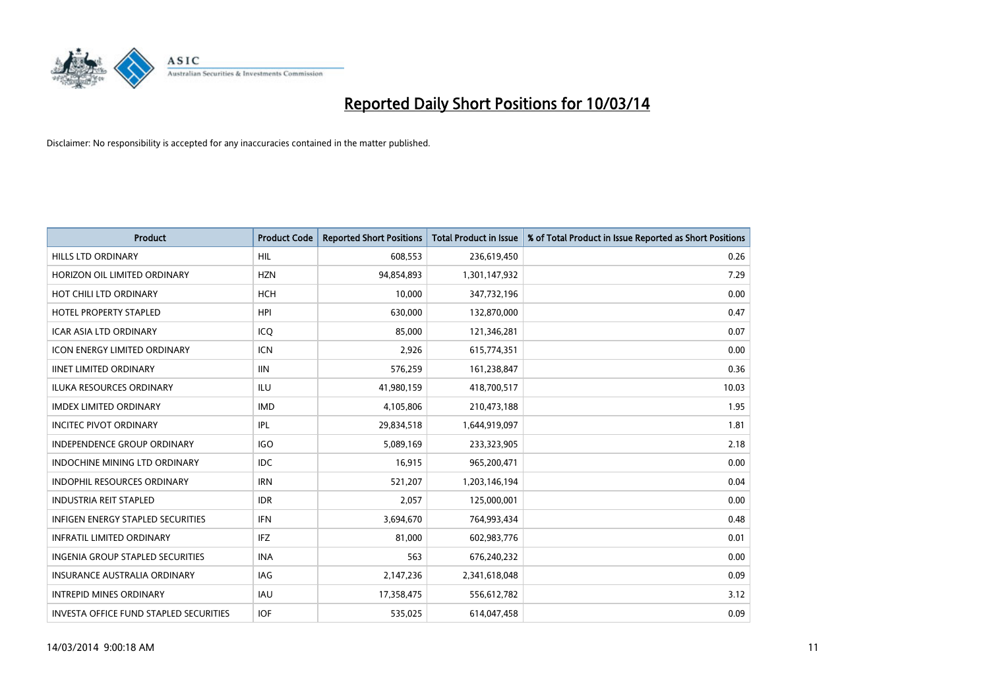

| <b>Product</b>                                | <b>Product Code</b> | <b>Reported Short Positions</b> | <b>Total Product in Issue</b> | % of Total Product in Issue Reported as Short Positions |
|-----------------------------------------------|---------------------|---------------------------------|-------------------------------|---------------------------------------------------------|
| <b>HILLS LTD ORDINARY</b>                     | <b>HIL</b>          | 608,553                         | 236,619,450                   | 0.26                                                    |
| HORIZON OIL LIMITED ORDINARY                  | <b>HZN</b>          | 94,854,893                      | 1,301,147,932                 | 7.29                                                    |
| HOT CHILI LTD ORDINARY                        | <b>HCH</b>          | 10,000                          | 347,732,196                   | 0.00                                                    |
| <b>HOTEL PROPERTY STAPLED</b>                 | <b>HPI</b>          | 630,000                         | 132,870,000                   | 0.47                                                    |
| <b>ICAR ASIA LTD ORDINARY</b>                 | ICQ                 | 85.000                          | 121,346,281                   | 0.07                                                    |
| <b>ICON ENERGY LIMITED ORDINARY</b>           | <b>ICN</b>          | 2,926                           | 615,774,351                   | 0.00                                                    |
| <b>IINET LIMITED ORDINARY</b>                 | <b>IIN</b>          | 576,259                         | 161,238,847                   | 0.36                                                    |
| <b>ILUKA RESOURCES ORDINARY</b>               | ILU                 | 41,980,159                      | 418,700,517                   | 10.03                                                   |
| <b>IMDEX LIMITED ORDINARY</b>                 | <b>IMD</b>          | 4,105,806                       | 210,473,188                   | 1.95                                                    |
| <b>INCITEC PIVOT ORDINARY</b>                 | IPL                 | 29,834,518                      | 1,644,919,097                 | 1.81                                                    |
| <b>INDEPENDENCE GROUP ORDINARY</b>            | IGO                 | 5,089,169                       | 233,323,905                   | 2.18                                                    |
| <b>INDOCHINE MINING LTD ORDINARY</b>          | <b>IDC</b>          | 16,915                          | 965,200,471                   | 0.00                                                    |
| <b>INDOPHIL RESOURCES ORDINARY</b>            | <b>IRN</b>          | 521,207                         | 1,203,146,194                 | 0.04                                                    |
| <b>INDUSTRIA REIT STAPLED</b>                 | <b>IDR</b>          | 2.057                           | 125,000,001                   | 0.00                                                    |
| <b>INFIGEN ENERGY STAPLED SECURITIES</b>      | <b>IFN</b>          | 3,694,670                       | 764,993,434                   | 0.48                                                    |
| <b>INFRATIL LIMITED ORDINARY</b>              | <b>IFZ</b>          | 81,000                          | 602,983,776                   | 0.01                                                    |
| <b>INGENIA GROUP STAPLED SECURITIES</b>       | <b>INA</b>          | 563                             | 676,240,232                   | 0.00                                                    |
| <b>INSURANCE AUSTRALIA ORDINARY</b>           | IAG                 | 2,147,236                       | 2,341,618,048                 | 0.09                                                    |
| <b>INTREPID MINES ORDINARY</b>                | <b>IAU</b>          | 17,358,475                      | 556,612,782                   | 3.12                                                    |
| <b>INVESTA OFFICE FUND STAPLED SECURITIES</b> | <b>IOF</b>          | 535.025                         | 614,047,458                   | 0.09                                                    |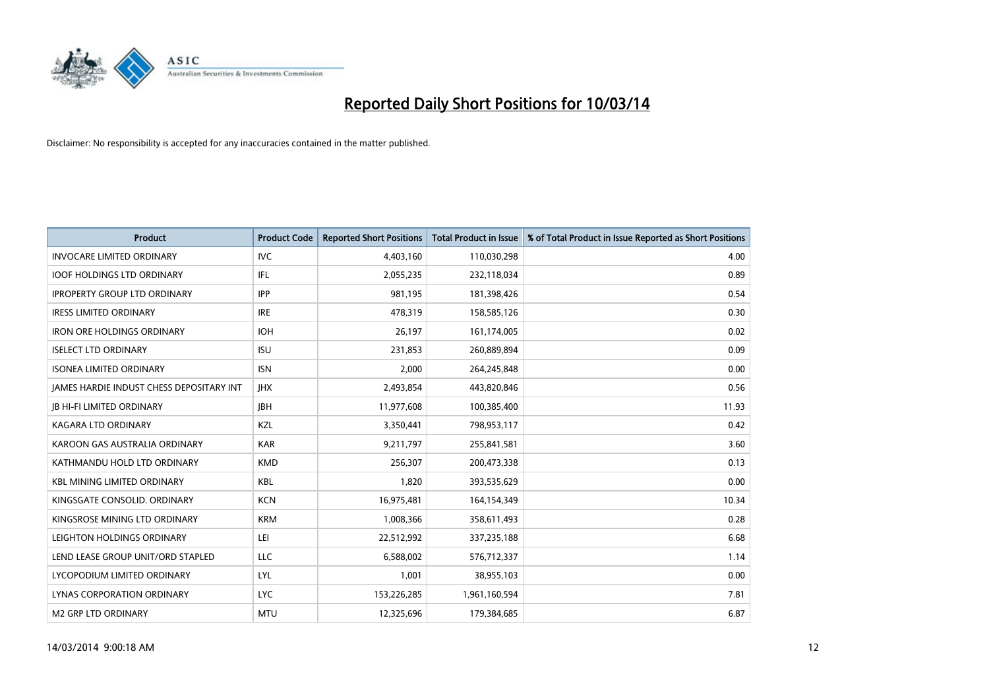

| <b>Product</b>                                  | <b>Product Code</b> | <b>Reported Short Positions</b> | <b>Total Product in Issue</b> | % of Total Product in Issue Reported as Short Positions |
|-------------------------------------------------|---------------------|---------------------------------|-------------------------------|---------------------------------------------------------|
| <b>INVOCARE LIMITED ORDINARY</b>                | <b>IVC</b>          | 4,403,160                       | 110,030,298                   | 4.00                                                    |
| <b>IOOF HOLDINGS LTD ORDINARY</b>               | <b>IFL</b>          | 2,055,235                       | 232,118,034                   | 0.89                                                    |
| <b>IPROPERTY GROUP LTD ORDINARY</b>             | <b>IPP</b>          | 981.195                         | 181,398,426                   | 0.54                                                    |
| <b>IRESS LIMITED ORDINARY</b>                   | <b>IRE</b>          | 478,319                         | 158,585,126                   | 0.30                                                    |
| <b>IRON ORE HOLDINGS ORDINARY</b>               | <b>IOH</b>          | 26,197                          | 161,174,005                   | 0.02                                                    |
| <b>ISELECT LTD ORDINARY</b>                     | <b>ISU</b>          | 231,853                         | 260,889,894                   | 0.09                                                    |
| <b>ISONEA LIMITED ORDINARY</b>                  | <b>ISN</b>          | 2,000                           | 264,245,848                   | 0.00                                                    |
| <b>JAMES HARDIE INDUST CHESS DEPOSITARY INT</b> | <b>IHX</b>          | 2,493,854                       | 443,820,846                   | 0.56                                                    |
| <b>IB HI-FI LIMITED ORDINARY</b>                | <b>IBH</b>          | 11,977,608                      | 100,385,400                   | 11.93                                                   |
| <b>KAGARA LTD ORDINARY</b>                      | <b>KZL</b>          | 3,350,441                       | 798,953,117                   | 0.42                                                    |
| KAROON GAS AUSTRALIA ORDINARY                   | <b>KAR</b>          | 9,211,797                       | 255,841,581                   | 3.60                                                    |
| KATHMANDU HOLD LTD ORDINARY                     | <b>KMD</b>          | 256,307                         | 200,473,338                   | 0.13                                                    |
| <b>KBL MINING LIMITED ORDINARY</b>              | <b>KBL</b>          | 1,820                           | 393,535,629                   | 0.00                                                    |
| KINGSGATE CONSOLID. ORDINARY                    | <b>KCN</b>          | 16,975,481                      | 164,154,349                   | 10.34                                                   |
| KINGSROSE MINING LTD ORDINARY                   | <b>KRM</b>          | 1,008,366                       | 358,611,493                   | 0.28                                                    |
| LEIGHTON HOLDINGS ORDINARY                      | LEI                 | 22,512,992                      | 337,235,188                   | 6.68                                                    |
| LEND LEASE GROUP UNIT/ORD STAPLED               | LLC                 | 6,588,002                       | 576,712,337                   | 1.14                                                    |
| LYCOPODIUM LIMITED ORDINARY                     | <b>LYL</b>          | 1,001                           | 38,955,103                    | 0.00                                                    |
| <b>LYNAS CORPORATION ORDINARY</b>               | <b>LYC</b>          | 153,226,285                     | 1,961,160,594                 | 7.81                                                    |
| M2 GRP LTD ORDINARY                             | <b>MTU</b>          | 12,325,696                      | 179,384,685                   | 6.87                                                    |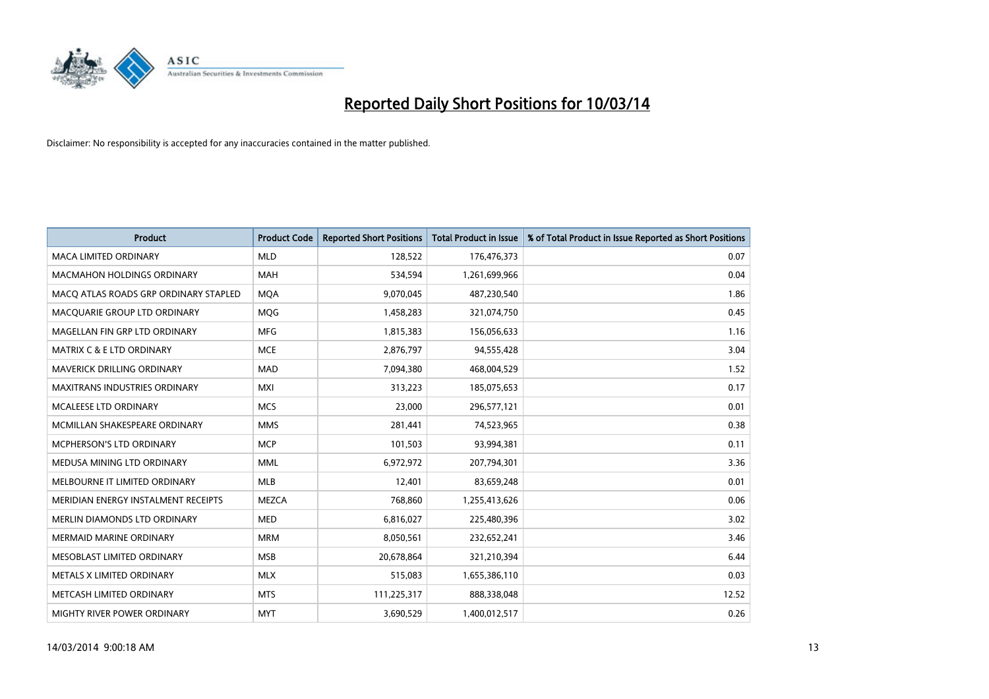

| <b>Product</b>                        | <b>Product Code</b> | <b>Reported Short Positions</b> | <b>Total Product in Issue</b> | % of Total Product in Issue Reported as Short Positions |
|---------------------------------------|---------------------|---------------------------------|-------------------------------|---------------------------------------------------------|
| <b>MACA LIMITED ORDINARY</b>          | <b>MLD</b>          | 128,522                         | 176,476,373                   | 0.07                                                    |
| MACMAHON HOLDINGS ORDINARY            | <b>MAH</b>          | 534,594                         | 1,261,699,966                 | 0.04                                                    |
| MACO ATLAS ROADS GRP ORDINARY STAPLED | <b>MOA</b>          | 9,070,045                       | 487,230,540                   | 1.86                                                    |
| MACQUARIE GROUP LTD ORDINARY          | MQG                 | 1,458,283                       | 321,074,750                   | 0.45                                                    |
| MAGELLAN FIN GRP LTD ORDINARY         | <b>MFG</b>          | 1,815,383                       | 156,056,633                   | 1.16                                                    |
| <b>MATRIX C &amp; E LTD ORDINARY</b>  | <b>MCE</b>          | 2,876,797                       | 94,555,428                    | 3.04                                                    |
| MAVERICK DRILLING ORDINARY            | <b>MAD</b>          | 7,094,380                       | 468,004,529                   | 1.52                                                    |
| <b>MAXITRANS INDUSTRIES ORDINARY</b>  | <b>MXI</b>          | 313,223                         | 185,075,653                   | 0.17                                                    |
| MCALEESE LTD ORDINARY                 | <b>MCS</b>          | 23,000                          | 296,577,121                   | 0.01                                                    |
| MCMILLAN SHAKESPEARE ORDINARY         | <b>MMS</b>          | 281,441                         | 74,523,965                    | 0.38                                                    |
| MCPHERSON'S LTD ORDINARY              | <b>MCP</b>          | 101,503                         | 93,994,381                    | 0.11                                                    |
| MEDUSA MINING LTD ORDINARY            | <b>MML</b>          | 6,972,972                       | 207,794,301                   | 3.36                                                    |
| MELBOURNE IT LIMITED ORDINARY         | <b>MLB</b>          | 12,401                          | 83,659,248                    | 0.01                                                    |
| MERIDIAN ENERGY INSTALMENT RECEIPTS   | <b>MEZCA</b>        | 768,860                         | 1,255,413,626                 | 0.06                                                    |
| MERLIN DIAMONDS LTD ORDINARY          | <b>MED</b>          | 6,816,027                       | 225,480,396                   | 3.02                                                    |
| <b>MERMAID MARINE ORDINARY</b>        | <b>MRM</b>          | 8,050,561                       | 232,652,241                   | 3.46                                                    |
| MESOBLAST LIMITED ORDINARY            | <b>MSB</b>          | 20,678,864                      | 321,210,394                   | 6.44                                                    |
| METALS X LIMITED ORDINARY             | <b>MLX</b>          | 515,083                         | 1,655,386,110                 | 0.03                                                    |
| METCASH LIMITED ORDINARY              | <b>MTS</b>          | 111,225,317                     | 888,338,048                   | 12.52                                                   |
| MIGHTY RIVER POWER ORDINARY           | <b>MYT</b>          | 3,690,529                       | 1,400,012,517                 | 0.26                                                    |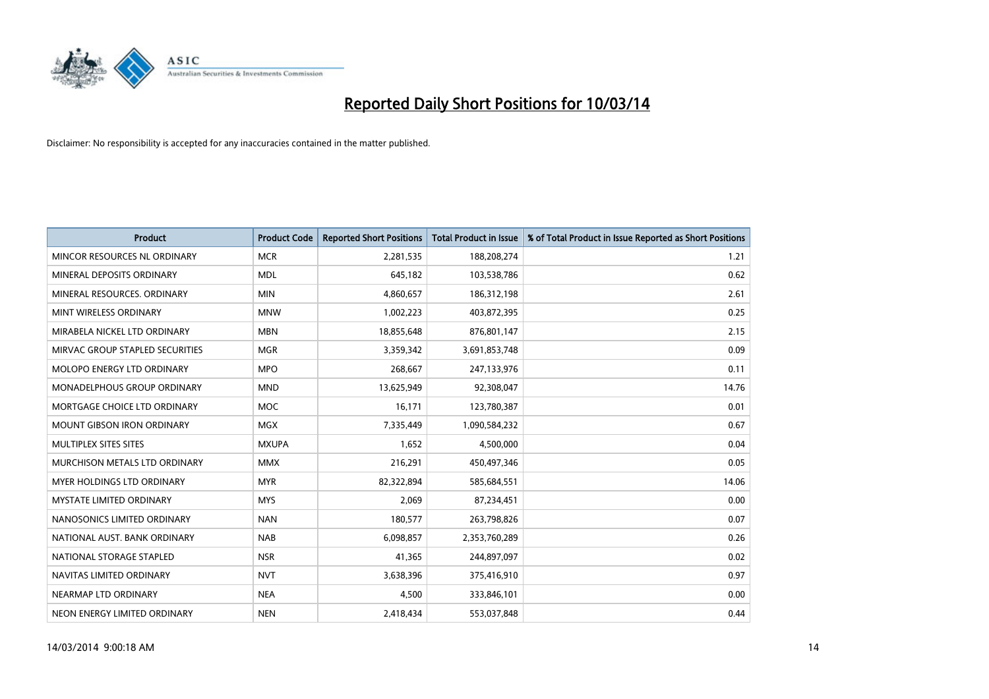

| <b>Product</b>                    | <b>Product Code</b> | <b>Reported Short Positions</b> | <b>Total Product in Issue</b> | % of Total Product in Issue Reported as Short Positions |
|-----------------------------------|---------------------|---------------------------------|-------------------------------|---------------------------------------------------------|
| MINCOR RESOURCES NL ORDINARY      | <b>MCR</b>          | 2,281,535                       | 188,208,274                   | 1.21                                                    |
| MINERAL DEPOSITS ORDINARY         | <b>MDL</b>          | 645,182                         | 103,538,786                   | 0.62                                                    |
| MINERAL RESOURCES, ORDINARY       | <b>MIN</b>          | 4,860,657                       | 186,312,198                   | 2.61                                                    |
| MINT WIRELESS ORDINARY            | <b>MNW</b>          | 1,002,223                       | 403,872,395                   | 0.25                                                    |
| MIRABELA NICKEL LTD ORDINARY      | <b>MBN</b>          | 18,855,648                      | 876,801,147                   | 2.15                                                    |
| MIRVAC GROUP STAPLED SECURITIES   | <b>MGR</b>          | 3,359,342                       | 3,691,853,748                 | 0.09                                                    |
| <b>MOLOPO ENERGY LTD ORDINARY</b> | <b>MPO</b>          | 268,667                         | 247,133,976                   | 0.11                                                    |
| MONADELPHOUS GROUP ORDINARY       | <b>MND</b>          | 13,625,949                      | 92,308,047                    | 14.76                                                   |
| MORTGAGE CHOICE LTD ORDINARY      | <b>MOC</b>          | 16,171                          | 123,780,387                   | 0.01                                                    |
| <b>MOUNT GIBSON IRON ORDINARY</b> | <b>MGX</b>          | 7,335,449                       | 1,090,584,232                 | 0.67                                                    |
| MULTIPLEX SITES SITES             | <b>MXUPA</b>        | 1,652                           | 4,500,000                     | 0.04                                                    |
| MURCHISON METALS LTD ORDINARY     | <b>MMX</b>          | 216,291                         | 450,497,346                   | 0.05                                                    |
| MYER HOLDINGS LTD ORDINARY        | <b>MYR</b>          | 82,322,894                      | 585,684,551                   | 14.06                                                   |
| <b>MYSTATE LIMITED ORDINARY</b>   | <b>MYS</b>          | 2,069                           | 87,234,451                    | 0.00                                                    |
| NANOSONICS LIMITED ORDINARY       | <b>NAN</b>          | 180,577                         | 263,798,826                   | 0.07                                                    |
| NATIONAL AUST, BANK ORDINARY      | <b>NAB</b>          | 6,098,857                       | 2,353,760,289                 | 0.26                                                    |
| NATIONAL STORAGE STAPLED          | <b>NSR</b>          | 41,365                          | 244,897,097                   | 0.02                                                    |
| NAVITAS LIMITED ORDINARY          | <b>NVT</b>          | 3,638,396                       | 375,416,910                   | 0.97                                                    |
| NEARMAP LTD ORDINARY              | <b>NEA</b>          | 4,500                           | 333,846,101                   | 0.00                                                    |
| NEON ENERGY LIMITED ORDINARY      | <b>NEN</b>          | 2,418,434                       | 553,037,848                   | 0.44                                                    |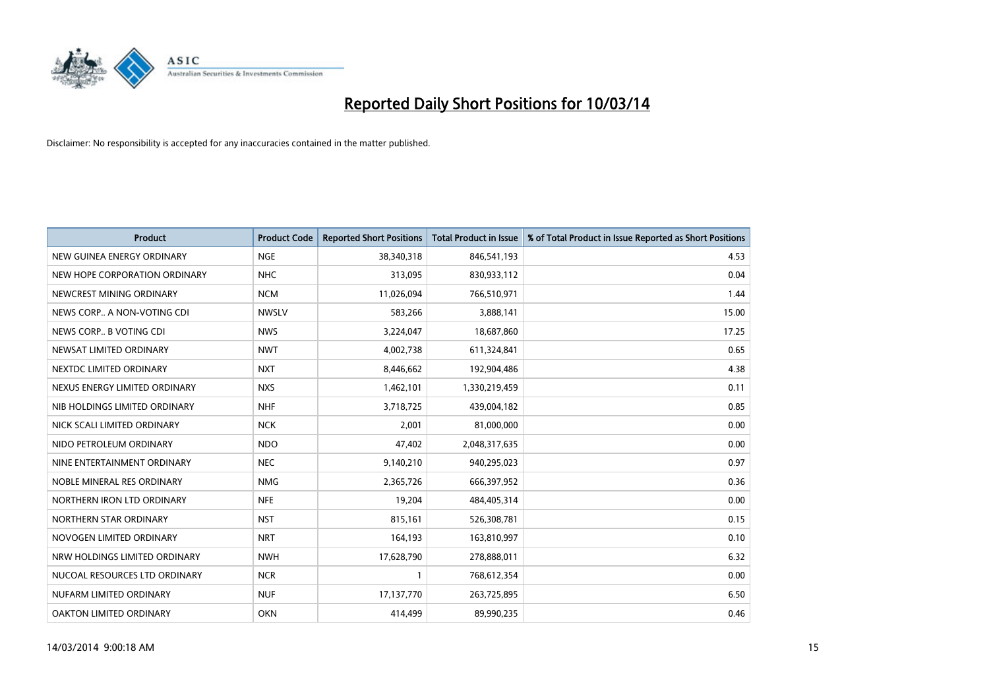

| <b>Product</b>                | <b>Product Code</b> | <b>Reported Short Positions</b> | <b>Total Product in Issue</b> | % of Total Product in Issue Reported as Short Positions |
|-------------------------------|---------------------|---------------------------------|-------------------------------|---------------------------------------------------------|
| NEW GUINEA ENERGY ORDINARY    | <b>NGE</b>          | 38,340,318                      | 846,541,193                   | 4.53                                                    |
| NEW HOPE CORPORATION ORDINARY | <b>NHC</b>          | 313,095                         | 830,933,112                   | 0.04                                                    |
| NEWCREST MINING ORDINARY      | <b>NCM</b>          | 11,026,094                      | 766,510,971                   | 1.44                                                    |
| NEWS CORP A NON-VOTING CDI    | <b>NWSLV</b>        | 583,266                         | 3,888,141                     | 15.00                                                   |
| NEWS CORP B VOTING CDI        | <b>NWS</b>          | 3,224,047                       | 18,687,860                    | 17.25                                                   |
| NEWSAT LIMITED ORDINARY       | <b>NWT</b>          | 4,002,738                       | 611,324,841                   | 0.65                                                    |
| NEXTDC LIMITED ORDINARY       | <b>NXT</b>          | 8,446,662                       | 192,904,486                   | 4.38                                                    |
| NEXUS ENERGY LIMITED ORDINARY | <b>NXS</b>          | 1,462,101                       | 1,330,219,459                 | 0.11                                                    |
| NIB HOLDINGS LIMITED ORDINARY | <b>NHF</b>          | 3,718,725                       | 439,004,182                   | 0.85                                                    |
| NICK SCALI LIMITED ORDINARY   | <b>NCK</b>          | 2,001                           | 81,000,000                    | 0.00                                                    |
| NIDO PETROLEUM ORDINARY       | <b>NDO</b>          | 47,402                          | 2,048,317,635                 | 0.00                                                    |
| NINE ENTERTAINMENT ORDINARY   | <b>NEC</b>          | 9,140,210                       | 940,295,023                   | 0.97                                                    |
| NOBLE MINERAL RES ORDINARY    | <b>NMG</b>          | 2,365,726                       | 666,397,952                   | 0.36                                                    |
| NORTHERN IRON LTD ORDINARY    | <b>NFE</b>          | 19,204                          | 484,405,314                   | 0.00                                                    |
| NORTHERN STAR ORDINARY        | <b>NST</b>          | 815,161                         | 526,308,781                   | 0.15                                                    |
| NOVOGEN LIMITED ORDINARY      | <b>NRT</b>          | 164,193                         | 163,810,997                   | 0.10                                                    |
| NRW HOLDINGS LIMITED ORDINARY | <b>NWH</b>          | 17,628,790                      | 278,888,011                   | 6.32                                                    |
| NUCOAL RESOURCES LTD ORDINARY | <b>NCR</b>          |                                 | 768,612,354                   | 0.00                                                    |
| NUFARM LIMITED ORDINARY       | <b>NUF</b>          | 17,137,770                      | 263,725,895                   | 6.50                                                    |
| OAKTON LIMITED ORDINARY       | <b>OKN</b>          | 414,499                         | 89,990,235                    | 0.46                                                    |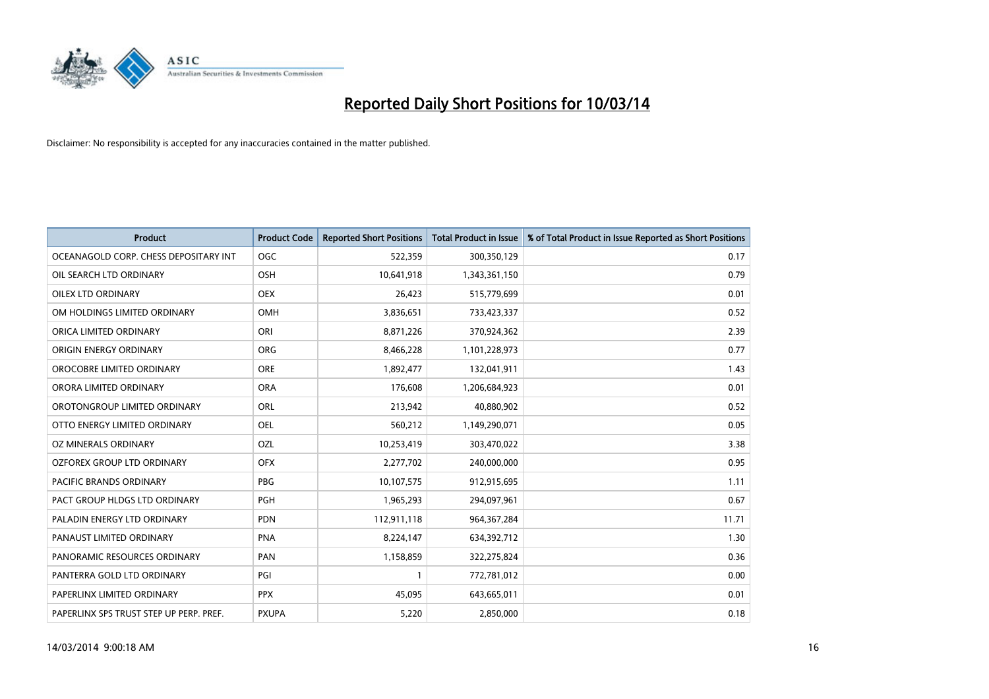

| <b>Product</b>                          | <b>Product Code</b> | <b>Reported Short Positions</b> | <b>Total Product in Issue</b> | % of Total Product in Issue Reported as Short Positions |
|-----------------------------------------|---------------------|---------------------------------|-------------------------------|---------------------------------------------------------|
| OCEANAGOLD CORP. CHESS DEPOSITARY INT   | <b>OGC</b>          | 522,359                         | 300,350,129                   | 0.17                                                    |
| OIL SEARCH LTD ORDINARY                 | OSH                 | 10,641,918                      | 1,343,361,150                 | 0.79                                                    |
| <b>OILEX LTD ORDINARY</b>               | <b>OEX</b>          | 26,423                          | 515,779,699                   | 0.01                                                    |
| OM HOLDINGS LIMITED ORDINARY            | OMH                 | 3,836,651                       | 733,423,337                   | 0.52                                                    |
| ORICA LIMITED ORDINARY                  | ORI                 | 8,871,226                       | 370,924,362                   | 2.39                                                    |
| ORIGIN ENERGY ORDINARY                  | <b>ORG</b>          | 8,466,228                       | 1,101,228,973                 | 0.77                                                    |
| OROCOBRE LIMITED ORDINARY               | <b>ORE</b>          | 1,892,477                       | 132,041,911                   | 1.43                                                    |
| ORORA LIMITED ORDINARY                  | <b>ORA</b>          | 176,608                         | 1,206,684,923                 | 0.01                                                    |
| OROTONGROUP LIMITED ORDINARY            | <b>ORL</b>          | 213,942                         | 40,880,902                    | 0.52                                                    |
| OTTO ENERGY LIMITED ORDINARY            | <b>OEL</b>          | 560,212                         | 1,149,290,071                 | 0.05                                                    |
| OZ MINERALS ORDINARY                    | OZL                 | 10,253,419                      | 303,470,022                   | 3.38                                                    |
| <b>OZFOREX GROUP LTD ORDINARY</b>       | <b>OFX</b>          | 2,277,702                       | 240,000,000                   | 0.95                                                    |
| PACIFIC BRANDS ORDINARY                 | <b>PBG</b>          | 10,107,575                      | 912,915,695                   | 1.11                                                    |
| PACT GROUP HLDGS LTD ORDINARY           | <b>PGH</b>          | 1,965,293                       | 294,097,961                   | 0.67                                                    |
| PALADIN ENERGY LTD ORDINARY             | <b>PDN</b>          | 112,911,118                     | 964,367,284                   | 11.71                                                   |
| PANAUST LIMITED ORDINARY                | <b>PNA</b>          | 8,224,147                       | 634,392,712                   | 1.30                                                    |
| PANORAMIC RESOURCES ORDINARY            | PAN                 | 1,158,859                       | 322,275,824                   | 0.36                                                    |
| PANTERRA GOLD LTD ORDINARY              | PGI                 |                                 | 772,781,012                   | 0.00                                                    |
| PAPERLINX LIMITED ORDINARY              | <b>PPX</b>          | 45,095                          | 643,665,011                   | 0.01                                                    |
| PAPERLINX SPS TRUST STEP UP PERP. PREF. | <b>PXUPA</b>        | 5,220                           | 2,850,000                     | 0.18                                                    |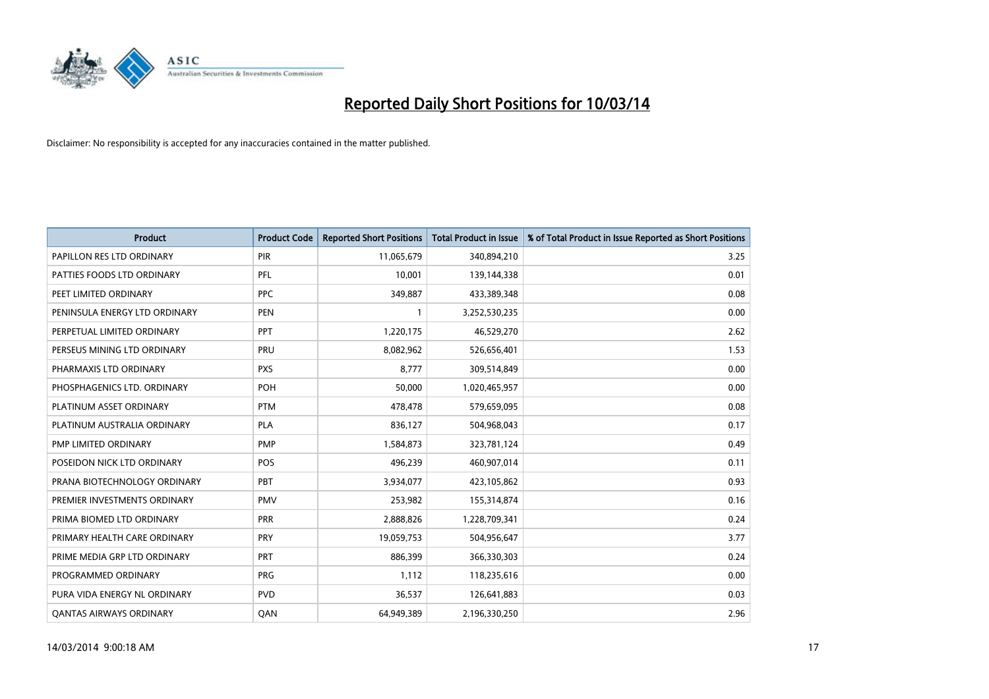

| <b>Product</b>                 | <b>Product Code</b> | <b>Reported Short Positions</b> | <b>Total Product in Issue</b> | % of Total Product in Issue Reported as Short Positions |
|--------------------------------|---------------------|---------------------------------|-------------------------------|---------------------------------------------------------|
| PAPILLON RES LTD ORDINARY      | PIR                 | 11,065,679                      | 340,894,210                   | 3.25                                                    |
| PATTIES FOODS LTD ORDINARY     | PFL                 | 10,001                          | 139,144,338                   | 0.01                                                    |
| PEET LIMITED ORDINARY          | <b>PPC</b>          | 349,887                         | 433,389,348                   | 0.08                                                    |
| PENINSULA ENERGY LTD ORDINARY  | <b>PEN</b>          |                                 | 3,252,530,235                 | 0.00                                                    |
| PERPETUAL LIMITED ORDINARY     | PPT                 | 1,220,175                       | 46,529,270                    | 2.62                                                    |
| PERSEUS MINING LTD ORDINARY    | PRU                 | 8,082,962                       | 526,656,401                   | 1.53                                                    |
| PHARMAXIS LTD ORDINARY         | <b>PXS</b>          | 8.777                           | 309,514,849                   | 0.00                                                    |
| PHOSPHAGENICS LTD. ORDINARY    | <b>POH</b>          | 50,000                          | 1,020,465,957                 | 0.00                                                    |
| PLATINUM ASSET ORDINARY        | <b>PTM</b>          | 478,478                         | 579,659,095                   | 0.08                                                    |
| PLATINUM AUSTRALIA ORDINARY    | <b>PLA</b>          | 836,127                         | 504,968,043                   | 0.17                                                    |
| PMP LIMITED ORDINARY           | <b>PMP</b>          | 1,584,873                       | 323,781,124                   | 0.49                                                    |
| POSEIDON NICK LTD ORDINARY     | POS                 | 496,239                         | 460,907,014                   | 0.11                                                    |
| PRANA BIOTECHNOLOGY ORDINARY   | PBT                 | 3,934,077                       | 423,105,862                   | 0.93                                                    |
| PREMIER INVESTMENTS ORDINARY   | <b>PMV</b>          | 253,982                         | 155,314,874                   | 0.16                                                    |
| PRIMA BIOMED LTD ORDINARY      | PRR                 | 2,888,826                       | 1,228,709,341                 | 0.24                                                    |
| PRIMARY HEALTH CARE ORDINARY   | <b>PRY</b>          | 19,059,753                      | 504,956,647                   | 3.77                                                    |
| PRIME MEDIA GRP LTD ORDINARY   | PRT                 | 886,399                         | 366,330,303                   | 0.24                                                    |
| PROGRAMMED ORDINARY            | <b>PRG</b>          | 1,112                           | 118,235,616                   | 0.00                                                    |
| PURA VIDA ENERGY NL ORDINARY   | <b>PVD</b>          | 36,537                          | 126,641,883                   | 0.03                                                    |
| <b>QANTAS AIRWAYS ORDINARY</b> | <b>OAN</b>          | 64,949,389                      | 2,196,330,250                 | 2.96                                                    |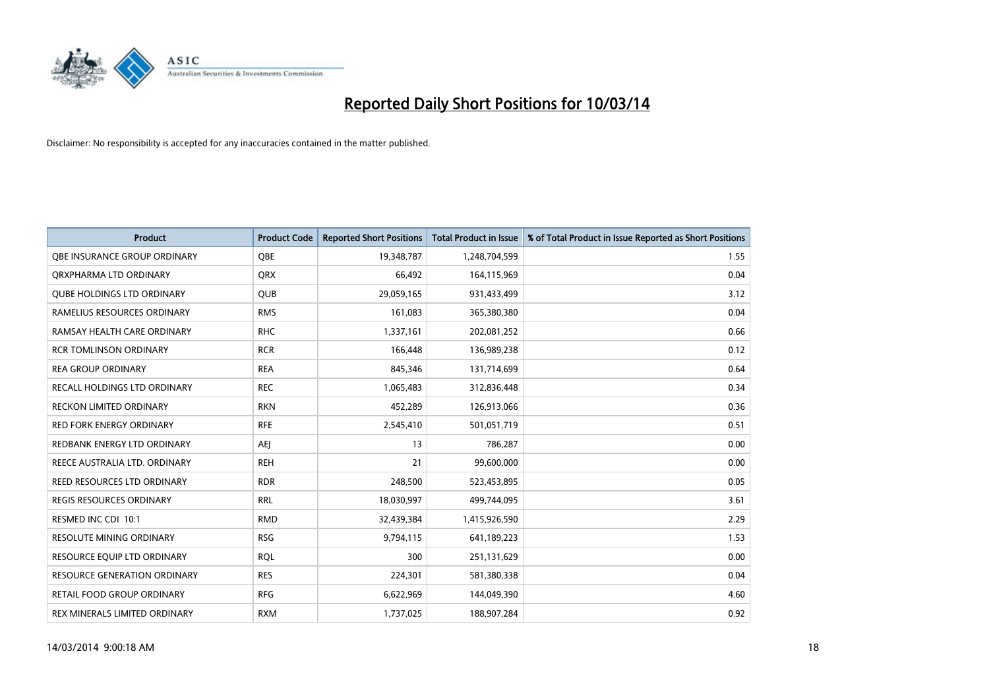

| <b>Product</b>                    | <b>Product Code</b> | <b>Reported Short Positions</b> | <b>Total Product in Issue</b> | % of Total Product in Issue Reported as Short Positions |
|-----------------------------------|---------------------|---------------------------------|-------------------------------|---------------------------------------------------------|
| OBE INSURANCE GROUP ORDINARY      | <b>OBE</b>          | 19,348,787                      | 1,248,704,599                 | 1.55                                                    |
| ORXPHARMA LTD ORDINARY            | <b>QRX</b>          | 66,492                          | 164,115,969                   | 0.04                                                    |
| <b>OUBE HOLDINGS LTD ORDINARY</b> | QUB                 | 29,059,165                      | 931,433,499                   | 3.12                                                    |
| RAMELIUS RESOURCES ORDINARY       | <b>RMS</b>          | 161,083                         | 365,380,380                   | 0.04                                                    |
| RAMSAY HEALTH CARE ORDINARY       | <b>RHC</b>          | 1,337,161                       | 202,081,252                   | 0.66                                                    |
| <b>RCR TOMLINSON ORDINARY</b>     | <b>RCR</b>          | 166,448                         | 136,989,238                   | 0.12                                                    |
| <b>REA GROUP ORDINARY</b>         | <b>REA</b>          | 845,346                         | 131,714,699                   | 0.64                                                    |
| RECALL HOLDINGS LTD ORDINARY      | <b>REC</b>          | 1,065,483                       | 312,836,448                   | 0.34                                                    |
| <b>RECKON LIMITED ORDINARY</b>    | <b>RKN</b>          | 452,289                         | 126,913,066                   | 0.36                                                    |
| <b>RED FORK ENERGY ORDINARY</b>   | <b>RFE</b>          | 2,545,410                       | 501,051,719                   | 0.51                                                    |
| REDBANK ENERGY LTD ORDINARY       | AEI                 | 13                              | 786,287                       | 0.00                                                    |
| REECE AUSTRALIA LTD. ORDINARY     | <b>REH</b>          | 21                              | 99,600,000                    | 0.00                                                    |
| REED RESOURCES LTD ORDINARY       | <b>RDR</b>          | 248,500                         | 523,453,895                   | 0.05                                                    |
| REGIS RESOURCES ORDINARY          | <b>RRL</b>          | 18,030,997                      | 499,744,095                   | 3.61                                                    |
| RESMED INC CDI 10:1               | <b>RMD</b>          | 32,439,384                      | 1,415,926,590                 | 2.29                                                    |
| RESOLUTE MINING ORDINARY          | <b>RSG</b>          | 9,794,115                       | 641,189,223                   | 1.53                                                    |
| RESOURCE EQUIP LTD ORDINARY       | <b>ROL</b>          | 300                             | 251,131,629                   | 0.00                                                    |
| RESOURCE GENERATION ORDINARY      | <b>RES</b>          | 224,301                         | 581,380,338                   | 0.04                                                    |
| RETAIL FOOD GROUP ORDINARY        | <b>RFG</b>          | 6,622,969                       | 144,049,390                   | 4.60                                                    |
| REX MINERALS LIMITED ORDINARY     | <b>RXM</b>          | 1,737,025                       | 188,907,284                   | 0.92                                                    |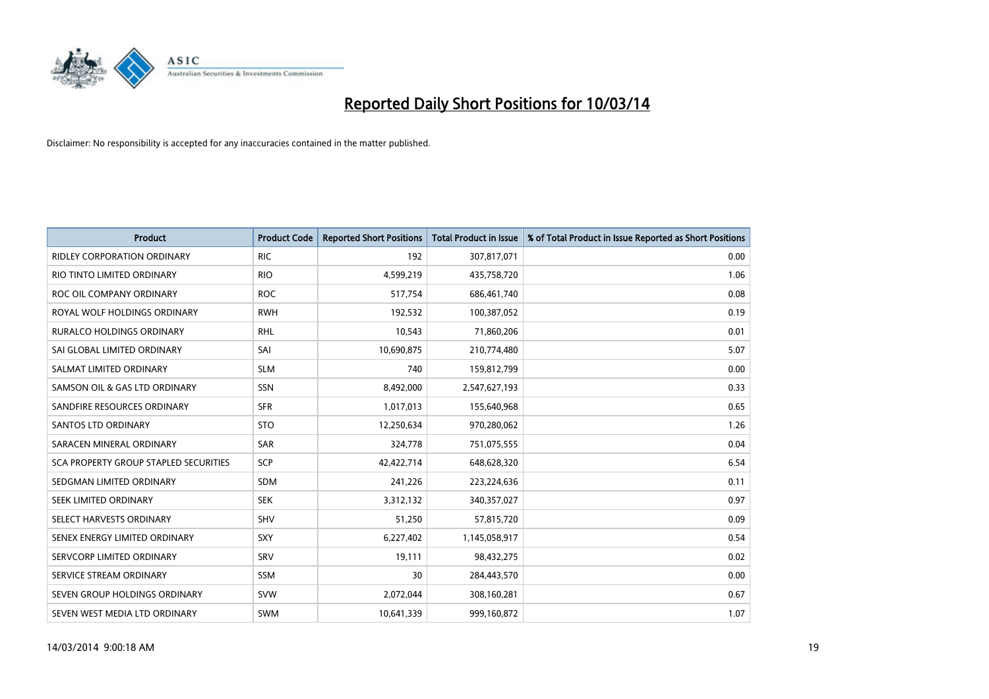

| <b>Product</b>                        | <b>Product Code</b> | <b>Reported Short Positions</b> | <b>Total Product in Issue</b> | % of Total Product in Issue Reported as Short Positions |
|---------------------------------------|---------------------|---------------------------------|-------------------------------|---------------------------------------------------------|
| <b>RIDLEY CORPORATION ORDINARY</b>    | <b>RIC</b>          | 192                             | 307,817,071                   | 0.00                                                    |
| RIO TINTO LIMITED ORDINARY            | <b>RIO</b>          | 4,599,219                       | 435,758,720                   | 1.06                                                    |
| ROC OIL COMPANY ORDINARY              | <b>ROC</b>          | 517,754                         | 686,461,740                   | 0.08                                                    |
| ROYAL WOLF HOLDINGS ORDINARY          | <b>RWH</b>          | 192,532                         | 100,387,052                   | 0.19                                                    |
| <b>RURALCO HOLDINGS ORDINARY</b>      | <b>RHL</b>          | 10,543                          | 71,860,206                    | 0.01                                                    |
| SAI GLOBAL LIMITED ORDINARY           | SAI                 | 10,690,875                      | 210,774,480                   | 5.07                                                    |
| SALMAT LIMITED ORDINARY               | <b>SLM</b>          | 740                             | 159,812,799                   | 0.00                                                    |
| SAMSON OIL & GAS LTD ORDINARY         | <b>SSN</b>          | 8,492,000                       | 2,547,627,193                 | 0.33                                                    |
| SANDFIRE RESOURCES ORDINARY           | <b>SFR</b>          | 1,017,013                       | 155,640,968                   | 0.65                                                    |
| <b>SANTOS LTD ORDINARY</b>            | <b>STO</b>          | 12,250,634                      | 970,280,062                   | 1.26                                                    |
| SARACEN MINERAL ORDINARY              | <b>SAR</b>          | 324,778                         | 751,075,555                   | 0.04                                                    |
| SCA PROPERTY GROUP STAPLED SECURITIES | <b>SCP</b>          | 42,422,714                      | 648,628,320                   | 6.54                                                    |
| SEDGMAN LIMITED ORDINARY              | <b>SDM</b>          | 241,226                         | 223,224,636                   | 0.11                                                    |
| <b>SEEK LIMITED ORDINARY</b>          | <b>SEK</b>          | 3,312,132                       | 340,357,027                   | 0.97                                                    |
| SELECT HARVESTS ORDINARY              | <b>SHV</b>          | 51,250                          | 57,815,720                    | 0.09                                                    |
| SENEX ENERGY LIMITED ORDINARY         | <b>SXY</b>          | 6,227,402                       | 1,145,058,917                 | 0.54                                                    |
| SERVCORP LIMITED ORDINARY             | SRV                 | 19,111                          | 98,432,275                    | 0.02                                                    |
| SERVICE STREAM ORDINARY               | <b>SSM</b>          | 30                              | 284,443,570                   | 0.00                                                    |
| SEVEN GROUP HOLDINGS ORDINARY         | <b>SVW</b>          | 2,072,044                       | 308,160,281                   | 0.67                                                    |
| SEVEN WEST MEDIA LTD ORDINARY         | <b>SWM</b>          | 10,641,339                      | 999,160,872                   | 1.07                                                    |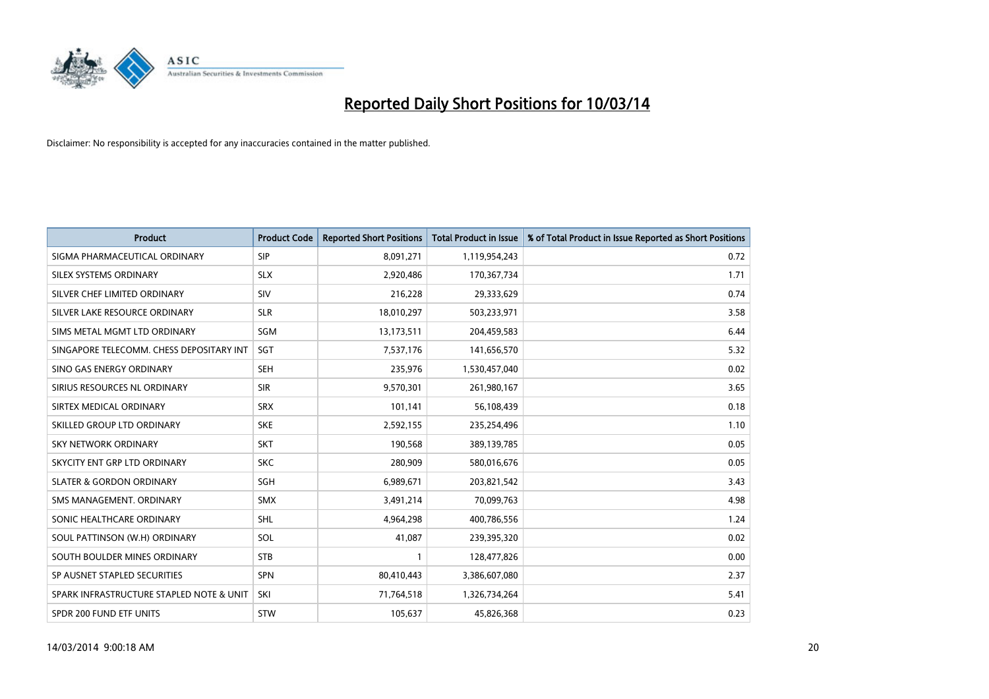

| <b>Product</b>                           | <b>Product Code</b> | <b>Reported Short Positions</b> | <b>Total Product in Issue</b> | % of Total Product in Issue Reported as Short Positions |
|------------------------------------------|---------------------|---------------------------------|-------------------------------|---------------------------------------------------------|
| SIGMA PHARMACEUTICAL ORDINARY            | <b>SIP</b>          | 8,091,271                       | 1,119,954,243                 | 0.72                                                    |
| SILEX SYSTEMS ORDINARY                   | <b>SLX</b>          | 2,920,486                       | 170,367,734                   | 1.71                                                    |
| SILVER CHEF LIMITED ORDINARY             | SIV                 | 216,228                         | 29,333,629                    | 0.74                                                    |
| SILVER LAKE RESOURCE ORDINARY            | <b>SLR</b>          | 18,010,297                      | 503,233,971                   | 3.58                                                    |
| SIMS METAL MGMT LTD ORDINARY             | SGM                 | 13,173,511                      | 204,459,583                   | 6.44                                                    |
| SINGAPORE TELECOMM. CHESS DEPOSITARY INT | SGT                 | 7,537,176                       | 141,656,570                   | 5.32                                                    |
| SINO GAS ENERGY ORDINARY                 | <b>SEH</b>          | 235,976                         | 1,530,457,040                 | 0.02                                                    |
| SIRIUS RESOURCES NL ORDINARY             | <b>SIR</b>          | 9,570,301                       | 261,980,167                   | 3.65                                                    |
| SIRTEX MEDICAL ORDINARY                  | <b>SRX</b>          | 101,141                         | 56,108,439                    | 0.18                                                    |
| SKILLED GROUP LTD ORDINARY               | <b>SKE</b>          | 2,592,155                       | 235,254,496                   | 1.10                                                    |
| <b>SKY NETWORK ORDINARY</b>              | <b>SKT</b>          | 190,568                         | 389,139,785                   | 0.05                                                    |
| SKYCITY ENT GRP LTD ORDINARY             | <b>SKC</b>          | 280,909                         | 580,016,676                   | 0.05                                                    |
| <b>SLATER &amp; GORDON ORDINARY</b>      | <b>SGH</b>          | 6,989,671                       | 203,821,542                   | 3.43                                                    |
| SMS MANAGEMENT, ORDINARY                 | <b>SMX</b>          | 3,491,214                       | 70,099,763                    | 4.98                                                    |
| SONIC HEALTHCARE ORDINARY                | <b>SHL</b>          | 4,964,298                       | 400,786,556                   | 1.24                                                    |
| SOUL PATTINSON (W.H) ORDINARY            | SOL                 | 41,087                          | 239,395,320                   | 0.02                                                    |
| SOUTH BOULDER MINES ORDINARY             | <b>STB</b>          |                                 | 128,477,826                   | 0.00                                                    |
| SP AUSNET STAPLED SECURITIES             | <b>SPN</b>          | 80,410,443                      | 3,386,607,080                 | 2.37                                                    |
| SPARK INFRASTRUCTURE STAPLED NOTE & UNIT | SKI                 | 71,764,518                      | 1,326,734,264                 | 5.41                                                    |
| SPDR 200 FUND ETF UNITS                  | <b>STW</b>          | 105,637                         | 45,826,368                    | 0.23                                                    |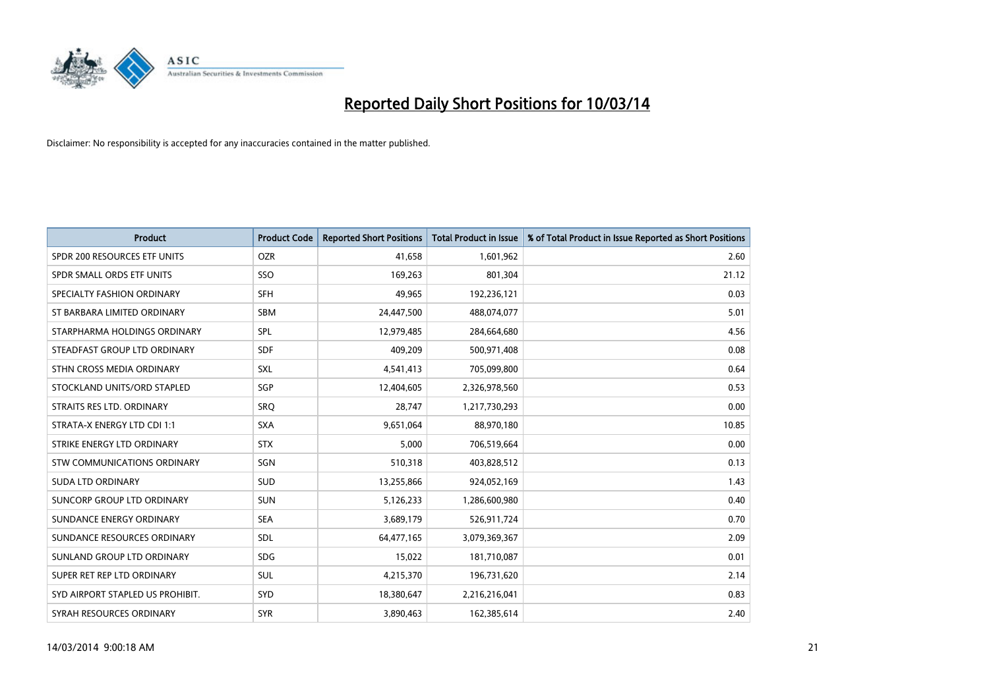

| <b>Product</b>                   | <b>Product Code</b> | <b>Reported Short Positions</b> | <b>Total Product in Issue</b> | % of Total Product in Issue Reported as Short Positions |
|----------------------------------|---------------------|---------------------------------|-------------------------------|---------------------------------------------------------|
| SPDR 200 RESOURCES ETF UNITS     | <b>OZR</b>          | 41.658                          | 1,601,962                     | 2.60                                                    |
| SPDR SMALL ORDS ETF UNITS        | SSO                 | 169,263                         | 801,304                       | 21.12                                                   |
| SPECIALTY FASHION ORDINARY       | <b>SFH</b>          | 49,965                          | 192,236,121                   | 0.03                                                    |
| ST BARBARA LIMITED ORDINARY      | <b>SBM</b>          | 24,447,500                      | 488,074,077                   | 5.01                                                    |
| STARPHARMA HOLDINGS ORDINARY     | <b>SPL</b>          | 12,979,485                      | 284,664,680                   | 4.56                                                    |
| STEADFAST GROUP LTD ORDINARY     | <b>SDF</b>          | 409,209                         | 500,971,408                   | 0.08                                                    |
| STHN CROSS MEDIA ORDINARY        | <b>SXL</b>          | 4,541,413                       | 705,099,800                   | 0.64                                                    |
| STOCKLAND UNITS/ORD STAPLED      | <b>SGP</b>          | 12,404,605                      | 2,326,978,560                 | 0.53                                                    |
| STRAITS RES LTD. ORDINARY        | SRO                 | 28,747                          | 1,217,730,293                 | 0.00                                                    |
| STRATA-X ENERGY LTD CDI 1:1      | <b>SXA</b>          | 9,651,064                       | 88,970,180                    | 10.85                                                   |
| STRIKE ENERGY LTD ORDINARY       | <b>STX</b>          | 5,000                           | 706,519,664                   | 0.00                                                    |
| STW COMMUNICATIONS ORDINARY      | <b>SGN</b>          | 510,318                         | 403,828,512                   | 0.13                                                    |
| <b>SUDA LTD ORDINARY</b>         | <b>SUD</b>          | 13,255,866                      | 924,052,169                   | 1.43                                                    |
| SUNCORP GROUP LTD ORDINARY       | <b>SUN</b>          | 5,126,233                       | 1,286,600,980                 | 0.40                                                    |
| SUNDANCE ENERGY ORDINARY         | <b>SEA</b>          | 3,689,179                       | 526,911,724                   | 0.70                                                    |
| SUNDANCE RESOURCES ORDINARY      | <b>SDL</b>          | 64,477,165                      | 3,079,369,367                 | 2.09                                                    |
| SUNLAND GROUP LTD ORDINARY       | <b>SDG</b>          | 15,022                          | 181,710,087                   | 0.01                                                    |
| SUPER RET REP LTD ORDINARY       | <b>SUL</b>          | 4,215,370                       | 196,731,620                   | 2.14                                                    |
| SYD AIRPORT STAPLED US PROHIBIT. | <b>SYD</b>          | 18,380,647                      | 2,216,216,041                 | 0.83                                                    |
| SYRAH RESOURCES ORDINARY         | <b>SYR</b>          | 3.890.463                       | 162,385,614                   | 2.40                                                    |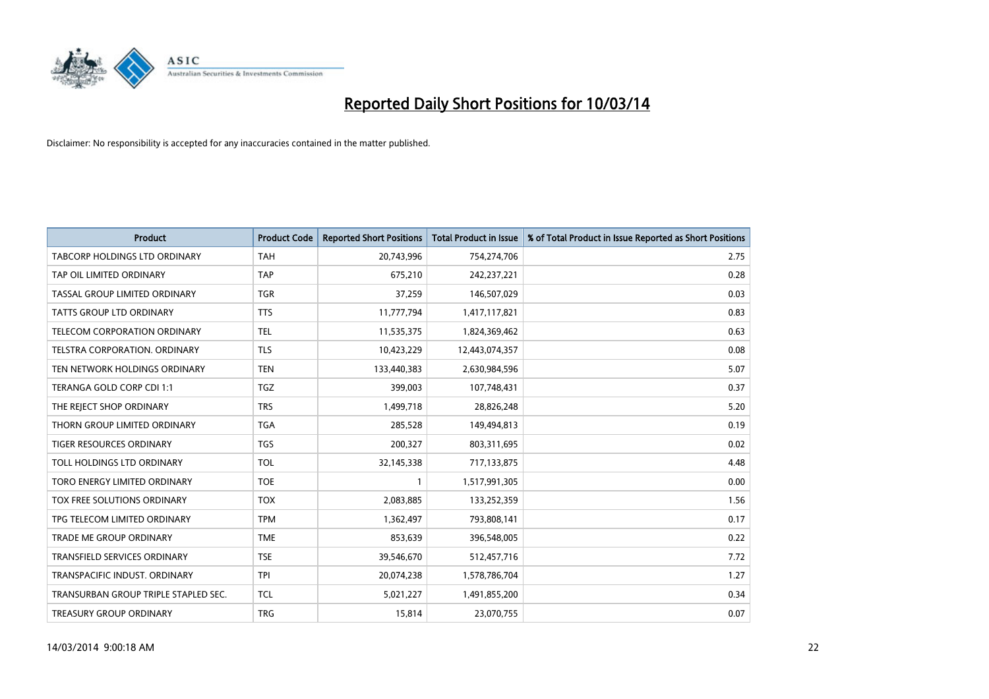

| <b>Product</b>                       | <b>Product Code</b> | <b>Reported Short Positions</b> | <b>Total Product in Issue</b> | % of Total Product in Issue Reported as Short Positions |
|--------------------------------------|---------------------|---------------------------------|-------------------------------|---------------------------------------------------------|
| TABCORP HOLDINGS LTD ORDINARY        | <b>TAH</b>          | 20,743,996                      | 754,274,706                   | 2.75                                                    |
| TAP OIL LIMITED ORDINARY             | <b>TAP</b>          | 675,210                         | 242,237,221                   | 0.28                                                    |
| TASSAL GROUP LIMITED ORDINARY        | <b>TGR</b>          | 37,259                          | 146,507,029                   | 0.03                                                    |
| TATTS GROUP LTD ORDINARY             | <b>TTS</b>          | 11,777,794                      | 1,417,117,821                 | 0.83                                                    |
| <b>TELECOM CORPORATION ORDINARY</b>  | <b>TEL</b>          | 11,535,375                      | 1,824,369,462                 | 0.63                                                    |
| <b>TELSTRA CORPORATION, ORDINARY</b> | <b>TLS</b>          | 10,423,229                      | 12,443,074,357                | 0.08                                                    |
| TEN NETWORK HOLDINGS ORDINARY        | <b>TEN</b>          | 133,440,383                     | 2,630,984,596                 | 5.07                                                    |
| TERANGA GOLD CORP CDI 1:1            | <b>TGZ</b>          | 399,003                         | 107,748,431                   | 0.37                                                    |
| THE REJECT SHOP ORDINARY             | <b>TRS</b>          | 1,499,718                       | 28,826,248                    | 5.20                                                    |
| THORN GROUP LIMITED ORDINARY         | <b>TGA</b>          | 285,528                         | 149,494,813                   | 0.19                                                    |
| TIGER RESOURCES ORDINARY             | <b>TGS</b>          | 200,327                         | 803,311,695                   | 0.02                                                    |
| TOLL HOLDINGS LTD ORDINARY           | <b>TOL</b>          | 32,145,338                      | 717,133,875                   | 4.48                                                    |
| TORO ENERGY LIMITED ORDINARY         | <b>TOE</b>          |                                 | 1,517,991,305                 | 0.00                                                    |
| TOX FREE SOLUTIONS ORDINARY          | <b>TOX</b>          | 2,083,885                       | 133,252,359                   | 1.56                                                    |
| TPG TELECOM LIMITED ORDINARY         | <b>TPM</b>          | 1,362,497                       | 793,808,141                   | 0.17                                                    |
| TRADE ME GROUP ORDINARY              | <b>TME</b>          | 853,639                         | 396,548,005                   | 0.22                                                    |
| TRANSFIELD SERVICES ORDINARY         | <b>TSE</b>          | 39,546,670                      | 512,457,716                   | 7.72                                                    |
| TRANSPACIFIC INDUST. ORDINARY        | <b>TPI</b>          | 20,074,238                      | 1,578,786,704                 | 1.27                                                    |
| TRANSURBAN GROUP TRIPLE STAPLED SEC. | <b>TCL</b>          | 5,021,227                       | 1,491,855,200                 | 0.34                                                    |
| TREASURY GROUP ORDINARY              | <b>TRG</b>          | 15,814                          | 23,070,755                    | 0.07                                                    |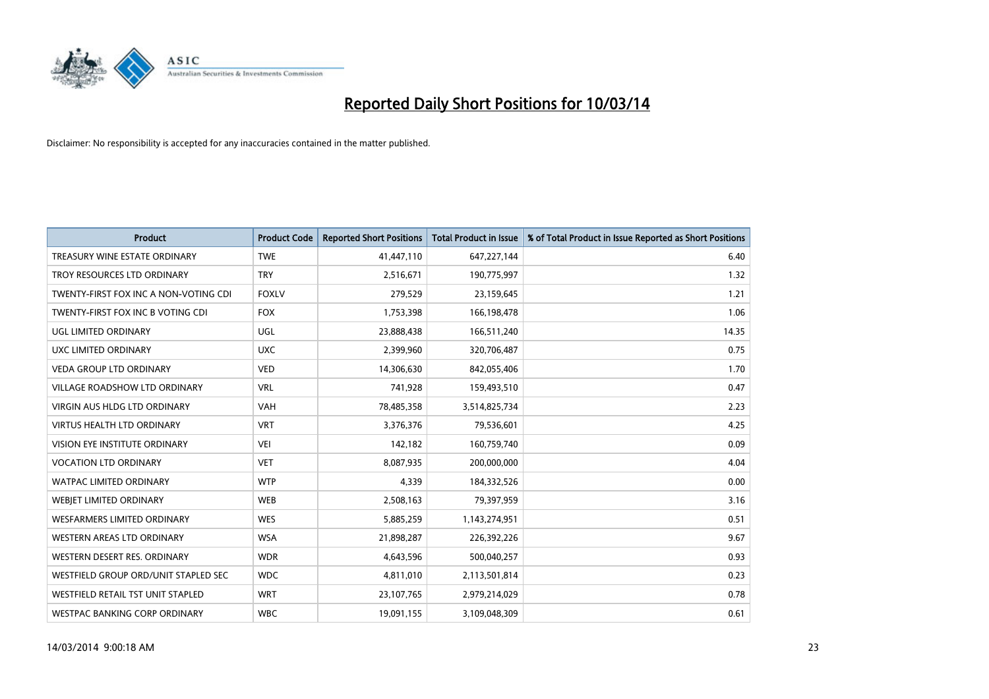

| <b>Product</b>                        | <b>Product Code</b> | <b>Reported Short Positions</b> | <b>Total Product in Issue</b> | % of Total Product in Issue Reported as Short Positions |
|---------------------------------------|---------------------|---------------------------------|-------------------------------|---------------------------------------------------------|
| TREASURY WINE ESTATE ORDINARY         | <b>TWE</b>          | 41,447,110                      | 647,227,144                   | 6.40                                                    |
| TROY RESOURCES LTD ORDINARY           | <b>TRY</b>          | 2,516,671                       | 190,775,997                   | 1.32                                                    |
| TWENTY-FIRST FOX INC A NON-VOTING CDI | <b>FOXLV</b>        | 279,529                         | 23,159,645                    | 1.21                                                    |
| TWENTY-FIRST FOX INC B VOTING CDI     | <b>FOX</b>          | 1,753,398                       | 166,198,478                   | 1.06                                                    |
| UGL LIMITED ORDINARY                  | <b>UGL</b>          | 23,888,438                      | 166,511,240                   | 14.35                                                   |
| UXC LIMITED ORDINARY                  | <b>UXC</b>          | 2,399,960                       | 320,706,487                   | 0.75                                                    |
| <b>VEDA GROUP LTD ORDINARY</b>        | <b>VED</b>          | 14,306,630                      | 842,055,406                   | 1.70                                                    |
| VILLAGE ROADSHOW LTD ORDINARY         | <b>VRL</b>          | 741,928                         | 159,493,510                   | 0.47                                                    |
| VIRGIN AUS HLDG LTD ORDINARY          | VAH                 | 78,485,358                      | 3,514,825,734                 | 2.23                                                    |
| <b>VIRTUS HEALTH LTD ORDINARY</b>     | <b>VRT</b>          | 3,376,376                       | 79,536,601                    | 4.25                                                    |
| <b>VISION EYE INSTITUTE ORDINARY</b>  | <b>VEI</b>          | 142,182                         | 160,759,740                   | 0.09                                                    |
| <b>VOCATION LTD ORDINARY</b>          | <b>VET</b>          | 8,087,935                       | 200,000,000                   | 4.04                                                    |
| <b>WATPAC LIMITED ORDINARY</b>        | <b>WTP</b>          | 4,339                           | 184,332,526                   | 0.00                                                    |
| <b>WEBIET LIMITED ORDINARY</b>        | <b>WEB</b>          | 2,508,163                       | 79,397,959                    | 3.16                                                    |
| <b>WESFARMERS LIMITED ORDINARY</b>    | <b>WES</b>          | 5,885,259                       | 1,143,274,951                 | 0.51                                                    |
| <b>WESTERN AREAS LTD ORDINARY</b>     | <b>WSA</b>          | 21,898,287                      | 226,392,226                   | 9.67                                                    |
| WESTERN DESERT RES. ORDINARY          | <b>WDR</b>          | 4,643,596                       | 500,040,257                   | 0.93                                                    |
| WESTFIELD GROUP ORD/UNIT STAPLED SEC  | <b>WDC</b>          | 4,811,010                       | 2,113,501,814                 | 0.23                                                    |
| WESTFIELD RETAIL TST UNIT STAPLED     | <b>WRT</b>          | 23,107,765                      | 2,979,214,029                 | 0.78                                                    |
| WESTPAC BANKING CORP ORDINARY         | <b>WBC</b>          | 19,091,155                      | 3,109,048,309                 | 0.61                                                    |